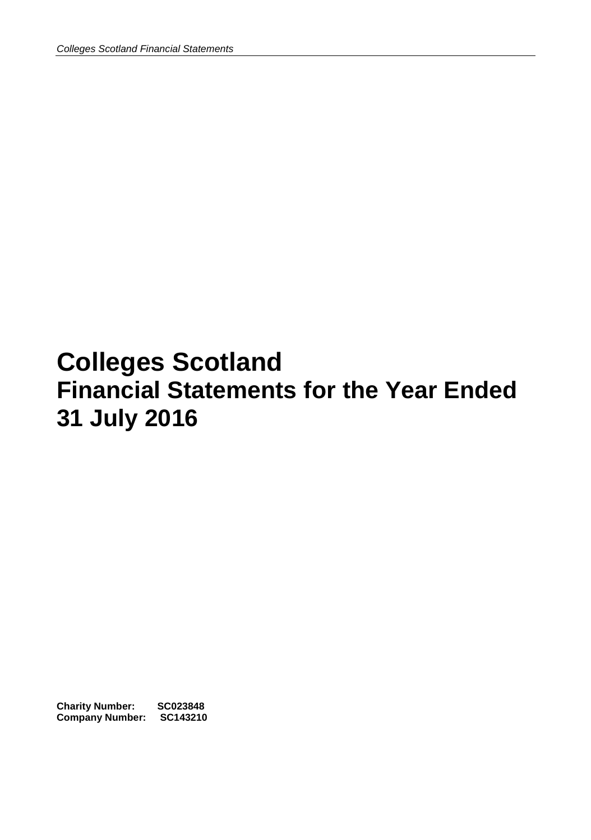# **Colleges Scotland Financial Statements for the Year Ended 31 July 2016**

**Charity Number: SC023848 Company Number: SC143210**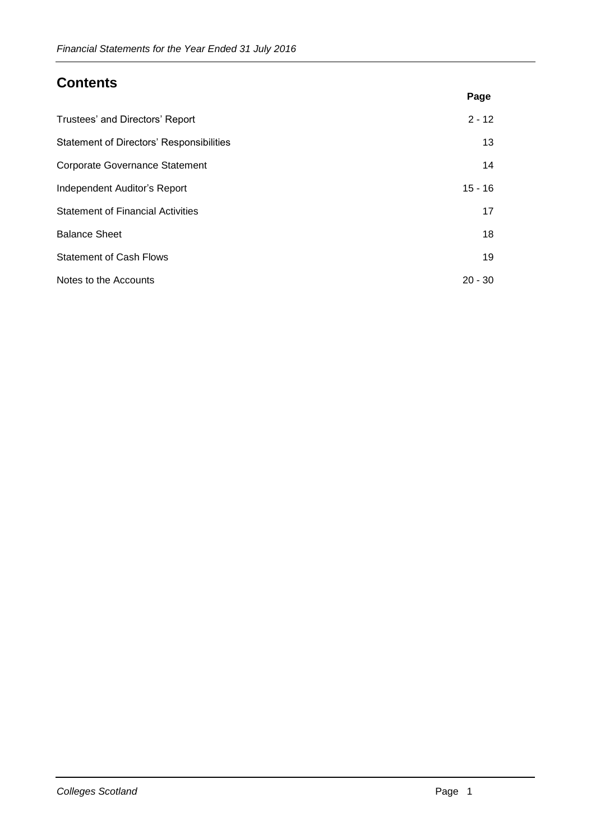# **Contents**

|                                                 | Page      |
|-------------------------------------------------|-----------|
| Trustees' and Directors' Report                 | $2 - 12$  |
| <b>Statement of Directors' Responsibilities</b> | 13        |
| <b>Corporate Governance Statement</b>           | 14        |
| Independent Auditor's Report                    | $15 - 16$ |
| <b>Statement of Financial Activities</b>        | 17        |
| <b>Balance Sheet</b>                            | 18        |
| <b>Statement of Cash Flows</b>                  | 19        |
| Notes to the Accounts                           | $20 - 30$ |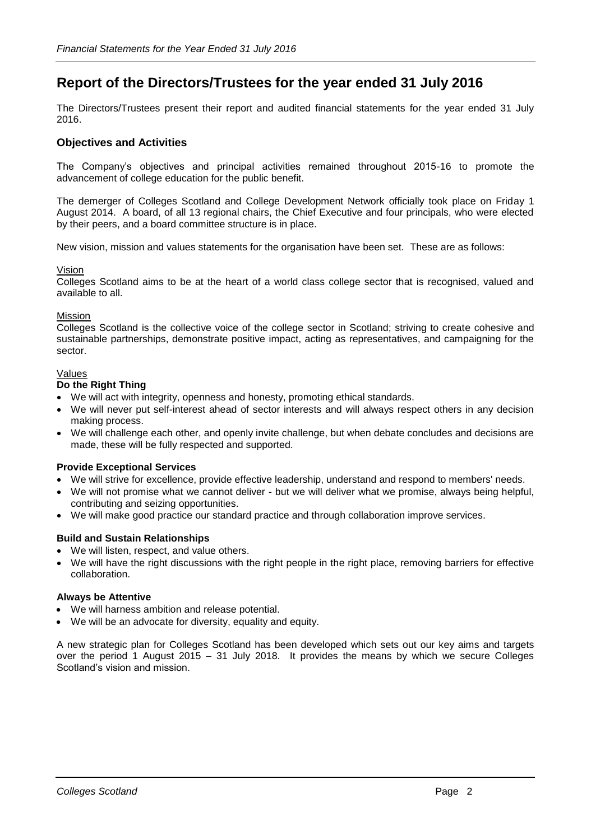# **Report of the Directors/Trustees for the year ended 31 July 2016**

The Directors/Trustees present their report and audited financial statements for the year ended 31 July 2016.

# **Objectives and Activities**

The Company's objectives and principal activities remained throughout 2015-16 to promote the advancement of college education for the public benefit.

The demerger of Colleges Scotland and College Development Network officially took place on Friday 1 August 2014. A board, of all 13 regional chairs, the Chief Executive and four principals, who were elected by their peers, and a board committee structure is in place.

New vision, mission and values statements for the organisation have been set. These are as follows:

# Vision

Colleges Scotland aims to be at the heart of a world class college sector that is recognised, valued and available to all.

# Mission

Colleges Scotland is the collective voice of the college sector in Scotland; striving to create cohesive and sustainable partnerships, demonstrate positive impact, acting as representatives, and campaigning for the sector.

# Values

# **Do the Right Thing**

- We will act with integrity, openness and honesty, promoting ethical standards.
- We will never put self-interest ahead of sector interests and will always respect others in any decision making process.
- We will challenge each other, and openly invite challenge, but when debate concludes and decisions are made, these will be fully respected and supported.

# **Provide Exceptional Services**

- We will strive for excellence, provide effective leadership, understand and respond to members' needs.
- We will not promise what we cannot deliver but we will deliver what we promise, always being helpful, contributing and seizing opportunities.
- We will make good practice our standard practice and through collaboration improve services.

# **Build and Sustain Relationships**

- We will listen, respect, and value others.
- We will have the right discussions with the right people in the right place, removing barriers for effective collaboration.

### **Always be Attentive**

- We will harness ambition and release potential.
- We will be an advocate for diversity, equality and equity.

A new strategic plan for Colleges Scotland has been developed which sets out our key aims and targets over the period 1 August 2015 – 31 July 2018. It provides the means by which we secure Colleges Scotland's vision and mission.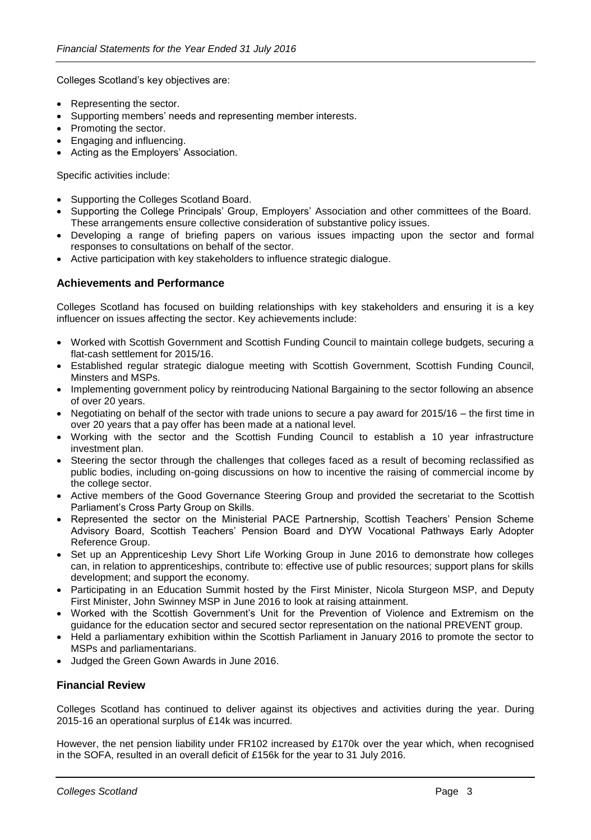Colleges Scotland's key objectives are:

- Representing the sector.
- Supporting members' needs and representing member interests.
- Promoting the sector.
- Engaging and influencing.
- Acting as the Employers' Association.

Specific activities include:

- Supporting the Colleges Scotland Board.
- Supporting the College Principals' Group, Employers' Association and other committees of the Board. These arrangements ensure collective consideration of substantive policy issues.
- Developing a range of briefing papers on various issues impacting upon the sector and formal responses to consultations on behalf of the sector.
- Active participation with key stakeholders to influence strategic dialogue.

# **Achievements and Performance**

Colleges Scotland has focused on building relationships with key stakeholders and ensuring it is a key influencer on issues affecting the sector. Key achievements include:

- Worked with Scottish Government and Scottish Funding Council to maintain college budgets, securing a flat-cash settlement for 2015/16.
- Established regular strategic dialogue meeting with Scottish Government, Scottish Funding Council, Minsters and MSPs.
- Implementing government policy by reintroducing National Bargaining to the sector following an absence of over 20 years.
- Negotiating on behalf of the sector with trade unions to secure a pay award for 2015/16 the first time in over 20 years that a pay offer has been made at a national level.
- Working with the sector and the Scottish Funding Council to establish a 10 year infrastructure investment plan.
- Steering the sector through the challenges that colleges faced as a result of becoming reclassified as public bodies, including on-going discussions on how to incentive the raising of commercial income by the college sector.
- Active members of the Good Governance Steering Group and provided the secretariat to the Scottish Parliament's Cross Party Group on Skills.
- Represented the sector on the Ministerial PACE Partnership, Scottish Teachers' Pension Scheme Advisory Board, Scottish Teachers' Pension Board and DYW Vocational Pathways Early Adopter Reference Group.
- Set up an Apprenticeship Levy Short Life Working Group in June 2016 to demonstrate how colleges can, in relation to apprenticeships, contribute to: effective use of public resources; support plans for skills development; and support the economy.
- Participating in an Education Summit hosted by the First Minister, Nicola Sturgeon MSP, and Deputy First Minister, John Swinney MSP in June 2016 to look at raising attainment.
- Worked with the Scottish Government's Unit for the Prevention of Violence and Extremism on the guidance for the education sector and secured sector representation on the national PREVENT group.
- Held a parliamentary exhibition within the Scottish Parliament in January 2016 to promote the sector to MSPs and parliamentarians.
- Judged the Green Gown Awards in June 2016.

# **Financial Review**

Colleges Scotland has continued to deliver against its objectives and activities during the year. During 2015-16 an operational surplus of £14k was incurred.

However, the net pension liability under FR102 increased by £170k over the year which, when recognised in the SOFA, resulted in an overall deficit of £156k for the year to 31 July 2016.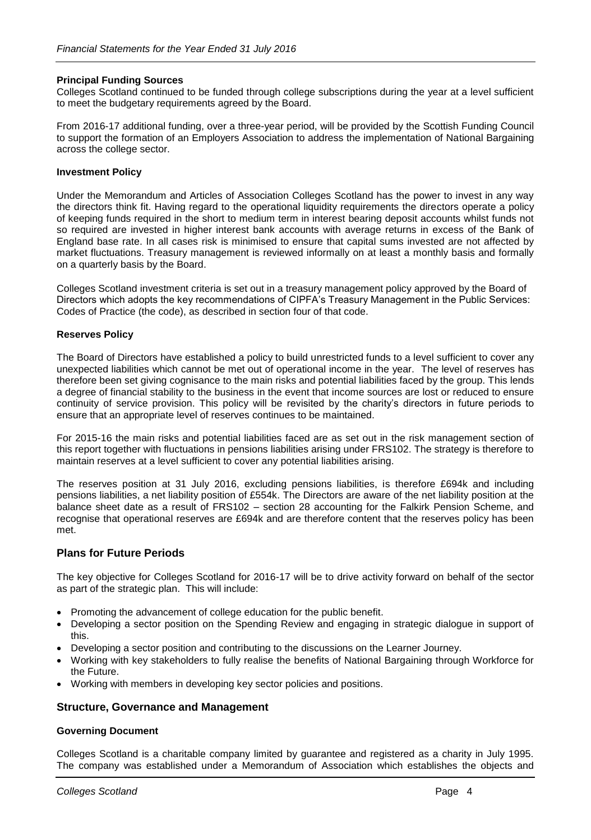# **Principal Funding Sources**

Colleges Scotland continued to be funded through college subscriptions during the year at a level sufficient to meet the budgetary requirements agreed by the Board.

From 2016-17 additional funding, over a three-year period, will be provided by the Scottish Funding Council to support the formation of an Employers Association to address the implementation of National Bargaining across the college sector.

# **Investment Policy**

Under the Memorandum and Articles of Association Colleges Scotland has the power to invest in any way the directors think fit. Having regard to the operational liquidity requirements the directors operate a policy of keeping funds required in the short to medium term in interest bearing deposit accounts whilst funds not so required are invested in higher interest bank accounts with average returns in excess of the Bank of England base rate. In all cases risk is minimised to ensure that capital sums invested are not affected by market fluctuations. Treasury management is reviewed informally on at least a monthly basis and formally on a quarterly basis by the Board.

Colleges Scotland investment criteria is set out in a treasury management policy approved by the Board of Directors which adopts the key recommendations of CIPFA's Treasury Management in the Public Services: Codes of Practice (the code), as described in section four of that code.

# **Reserves Policy**

The Board of Directors have established a policy to build unrestricted funds to a level sufficient to cover any unexpected liabilities which cannot be met out of operational income in the year. The level of reserves has therefore been set giving cognisance to the main risks and potential liabilities faced by the group. This lends a degree of financial stability to the business in the event that income sources are lost or reduced to ensure continuity of service provision. This policy will be revisited by the charity's directors in future periods to ensure that an appropriate level of reserves continues to be maintained.

For 2015-16 the main risks and potential liabilities faced are as set out in the risk management section of this report together with fluctuations in pensions liabilities arising under FRS102. The strategy is therefore to maintain reserves at a level sufficient to cover any potential liabilities arising.

The reserves position at 31 July 2016, excluding pensions liabilities, is therefore £694k and including pensions liabilities, a net liability position of £554k. The Directors are aware of the net liability position at the balance sheet date as a result of FRS102 – section 28 accounting for the Falkirk Pension Scheme, and recognise that operational reserves are £694k and are therefore content that the reserves policy has been met.

# **Plans for Future Periods**

The key objective for Colleges Scotland for 2016-17 will be to drive activity forward on behalf of the sector as part of the strategic plan. This will include:

- Promoting the advancement of college education for the public benefit.
- Developing a sector position on the Spending Review and engaging in strategic dialogue in support of this.
- Developing a sector position and contributing to the discussions on the Learner Journey.
- Working with key stakeholders to fully realise the benefits of National Bargaining through Workforce for the Future.
- Working with members in developing key sector policies and positions.

# **Structure, Governance and Management**

### **Governing Document**

Colleges Scotland is a charitable company limited by guarantee and registered as a charity in July 1995. The company was established under a Memorandum of Association which establishes the objects and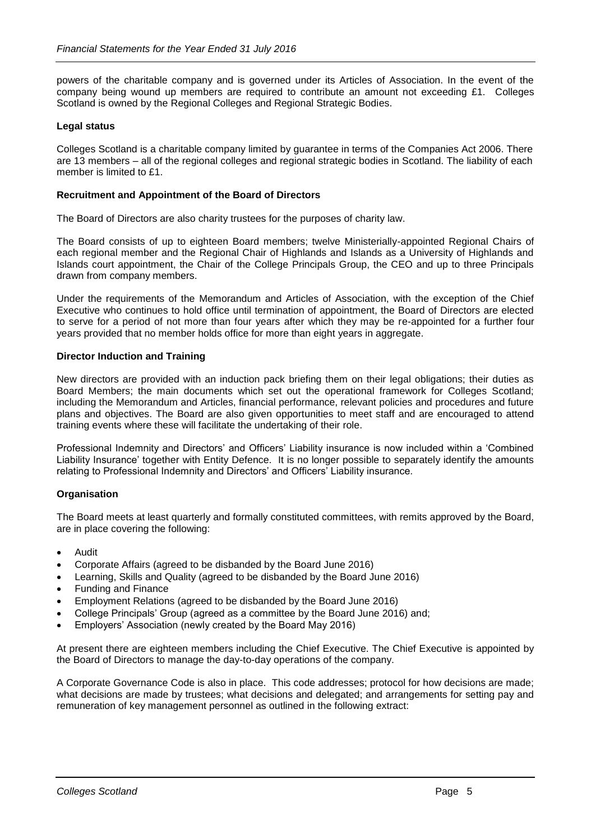powers of the charitable company and is governed under its Articles of Association. In the event of the company being wound up members are required to contribute an amount not exceeding £1. Colleges Scotland is owned by the Regional Colleges and Regional Strategic Bodies.

# **Legal status**

Colleges Scotland is a charitable company limited by guarantee in terms of the Companies Act 2006. There are 13 members – all of the regional colleges and regional strategic bodies in Scotland. The liability of each member is limited to £1.

# **Recruitment and Appointment of the Board of Directors**

The Board of Directors are also charity trustees for the purposes of charity law.

The Board consists of up to eighteen Board members; twelve Ministerially-appointed Regional Chairs of each regional member and the Regional Chair of Highlands and Islands as a University of Highlands and Islands court appointment, the Chair of the College Principals Group, the CEO and up to three Principals drawn from company members.

Under the requirements of the Memorandum and Articles of Association, with the exception of the Chief Executive who continues to hold office until termination of appointment, the Board of Directors are elected to serve for a period of not more than four years after which they may be re-appointed for a further four years provided that no member holds office for more than eight years in aggregate.

# **Director Induction and Training**

New directors are provided with an induction pack briefing them on their legal obligations; their duties as Board Members; the main documents which set out the operational framework for Colleges Scotland; including the Memorandum and Articles, financial performance, relevant policies and procedures and future plans and objectives. The Board are also given opportunities to meet staff and are encouraged to attend training events where these will facilitate the undertaking of their role.

Professional Indemnity and Directors' and Officers' Liability insurance is now included within a 'Combined Liability Insurance' together with Entity Defence. It is no longer possible to separately identify the amounts relating to Professional Indemnity and Directors' and Officers' Liability insurance.

### **Organisation**

The Board meets at least quarterly and formally constituted committees, with remits approved by the Board, are in place covering the following:

- Audit
- Corporate Affairs (agreed to be disbanded by the Board June 2016)
- Learning, Skills and Quality (agreed to be disbanded by the Board June 2016)
- Funding and Finance
- Employment Relations (agreed to be disbanded by the Board June 2016)
- College Principals' Group (agreed as a committee by the Board June 2016) and;
- Employers' Association (newly created by the Board May 2016)

At present there are eighteen members including the Chief Executive. The Chief Executive is appointed by the Board of Directors to manage the day-to-day operations of the company.

A Corporate Governance Code is also in place. This code addresses; protocol for how decisions are made; what decisions are made by trustees; what decisions and delegated; and arrangements for setting pay and remuneration of key management personnel as outlined in the following extract: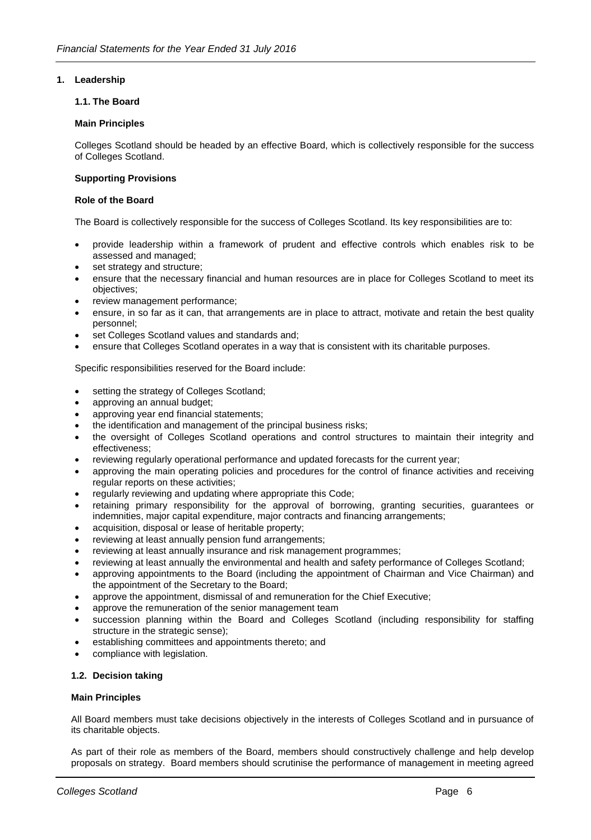# **1. Leadership**

### **1.1. The Board**

### **Main Principles**

Colleges Scotland should be headed by an effective Board, which is collectively responsible for the success of Colleges Scotland.

# **Supporting Provisions**

### **Role of the Board**

The Board is collectively responsible for the success of Colleges Scotland. Its key responsibilities are to:

- provide leadership within a framework of prudent and effective controls which enables risk to be assessed and managed;
- set strategy and structure;
- ensure that the necessary financial and human resources are in place for Colleges Scotland to meet its objectives;
- review management performance;
- ensure, in so far as it can, that arrangements are in place to attract, motivate and retain the best quality personnel;
- set Colleges Scotland values and standards and;
- ensure that Colleges Scotland operates in a way that is consistent with its charitable purposes.

Specific responsibilities reserved for the Board include:

- setting the strategy of Colleges Scotland;
- approving an annual budget;
- approving year end financial statements;
- the identification and management of the principal business risks;
- the oversight of Colleges Scotland operations and control structures to maintain their integrity and effectiveness;
- reviewing regularly operational performance and updated forecasts for the current year;
- approving the main operating policies and procedures for the control of finance activities and receiving regular reports on these activities;
- regularly reviewing and updating where appropriate this Code;
- retaining primary responsibility for the approval of borrowing, granting securities, guarantees or indemnities, major capital expenditure, major contracts and financing arrangements;
- acquisition, disposal or lease of heritable property;
- reviewing at least annually pension fund arrangements;
- reviewing at least annually insurance and risk management programmes;
- reviewing at least annually the environmental and health and safety performance of Colleges Scotland;
- approving appointments to the Board (including the appointment of Chairman and Vice Chairman) and the appointment of the Secretary to the Board;
- approve the appointment, dismissal of and remuneration for the Chief Executive;
- approve the remuneration of the senior management team
- succession planning within the Board and Colleges Scotland (including responsibility for staffing structure in the strategic sense);
- establishing committees and appointments thereto; and
- compliance with legislation.

# **1.2. Decision taking**

### **Main Principles**

All Board members must take decisions objectively in the interests of Colleges Scotland and in pursuance of its charitable objects.

As part of their role as members of the Board, members should constructively challenge and help develop proposals on strategy. Board members should scrutinise the performance of management in meeting agreed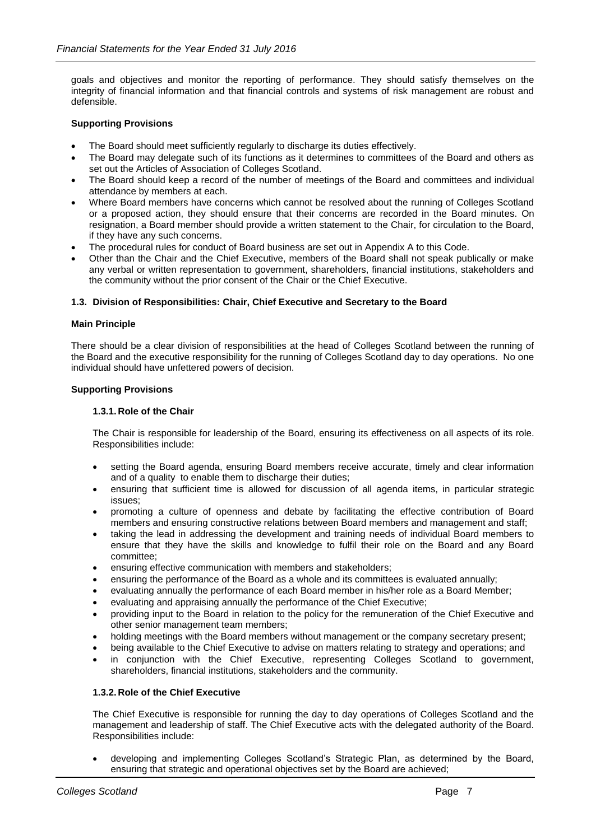goals and objectives and monitor the reporting of performance. They should satisfy themselves on the integrity of financial information and that financial controls and systems of risk management are robust and defensible.

# **Supporting Provisions**

- The Board should meet sufficiently regularly to discharge its duties effectively.
- The Board may delegate such of its functions as it determines to committees of the Board and others as set out the Articles of Association of Colleges Scotland.
- The Board should keep a record of the number of meetings of the Board and committees and individual attendance by members at each.
- Where Board members have concerns which cannot be resolved about the running of Colleges Scotland or a proposed action, they should ensure that their concerns are recorded in the Board minutes. On resignation, a Board member should provide a written statement to the Chair, for circulation to the Board, if they have any such concerns.
- The procedural rules for conduct of Board business are set out in Appendix A to this Code.
- Other than the Chair and the Chief Executive, members of the Board shall not speak publically or make any verbal or written representation to government, shareholders, financial institutions, stakeholders and the community without the prior consent of the Chair or the Chief Executive.

# **1.3. Division of Responsibilities: Chair, Chief Executive and Secretary to the Board**

### **Main Principle**

There should be a clear division of responsibilities at the head of Colleges Scotland between the running of the Board and the executive responsibility for the running of Colleges Scotland day to day operations. No one individual should have unfettered powers of decision.

### **Supporting Provisions**

### **1.3.1. Role of the Chair**

The Chair is responsible for leadership of the Board, ensuring its effectiveness on all aspects of its role. Responsibilities include:

- setting the Board agenda, ensuring Board members receive accurate, timely and clear information and of a quality to enable them to discharge their duties;
- ensuring that sufficient time is allowed for discussion of all agenda items, in particular strategic issues;
- promoting a culture of openness and debate by facilitating the effective contribution of Board members and ensuring constructive relations between Board members and management and staff;
- taking the lead in addressing the development and training needs of individual Board members to ensure that they have the skills and knowledge to fulfil their role on the Board and any Board committee;
- ensuring effective communication with members and stakeholders;
- ensuring the performance of the Board as a whole and its committees is evaluated annually;
- evaluating annually the performance of each Board member in his/her role as a Board Member;
- evaluating and appraising annually the performance of the Chief Executive;
- providing input to the Board in relation to the policy for the remuneration of the Chief Executive and other senior management team members;
- holding meetings with the Board members without management or the company secretary present;
- being available to the Chief Executive to advise on matters relating to strategy and operations; and
- in conjunction with the Chief Executive, representing Colleges Scotland to government, shareholders, financial institutions, stakeholders and the community.

### **1.3.2. Role of the Chief Executive**

The Chief Executive is responsible for running the day to day operations of Colleges Scotland and the management and leadership of staff. The Chief Executive acts with the delegated authority of the Board. Responsibilities include:

• developing and implementing Colleges Scotland's Strategic Plan, as determined by the Board, ensuring that strategic and operational objectives set by the Board are achieved;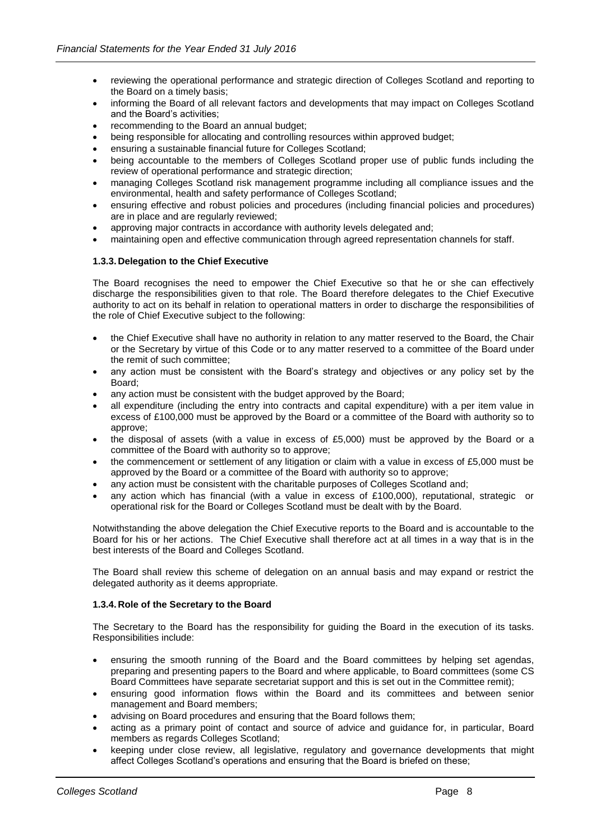- reviewing the operational performance and strategic direction of Colleges Scotland and reporting to the Board on a timely basis;
- informing the Board of all relevant factors and developments that may impact on Colleges Scotland and the Board's activities;
- recommending to the Board an annual budget;
- being responsible for allocating and controlling resources within approved budget;
- ensuring a sustainable financial future for Colleges Scotland;
- being accountable to the members of Colleges Scotland proper use of public funds including the review of operational performance and strategic direction;
- managing Colleges Scotland risk management programme including all compliance issues and the environmental, health and safety performance of Colleges Scotland;
- ensuring effective and robust policies and procedures (including financial policies and procedures) are in place and are regularly reviewed;
- approving major contracts in accordance with authority levels delegated and;
- maintaining open and effective communication through agreed representation channels for staff.

# **1.3.3. Delegation to the Chief Executive**

The Board recognises the need to empower the Chief Executive so that he or she can effectively discharge the responsibilities given to that role. The Board therefore delegates to the Chief Executive authority to act on its behalf in relation to operational matters in order to discharge the responsibilities of the role of Chief Executive subject to the following:

- the Chief Executive shall have no authority in relation to any matter reserved to the Board, the Chair or the Secretary by virtue of this Code or to any matter reserved to a committee of the Board under the remit of such committee;
- any action must be consistent with the Board's strategy and objectives or any policy set by the Board;
- any action must be consistent with the budget approved by the Board;
- all expenditure (including the entry into contracts and capital expenditure) with a per item value in excess of £100,000 must be approved by the Board or a committee of the Board with authority so to approve;
- the disposal of assets (with a value in excess of £5,000) must be approved by the Board or a committee of the Board with authority so to approve;
- the commencement or settlement of any litigation or claim with a value in excess of £5,000 must be approved by the Board or a committee of the Board with authority so to approve;
- any action must be consistent with the charitable purposes of Colleges Scotland and;
- any action which has financial (with a value in excess of £100,000), reputational, strategic or operational risk for the Board or Colleges Scotland must be dealt with by the Board.

Notwithstanding the above delegation the Chief Executive reports to the Board and is accountable to the Board for his or her actions. The Chief Executive shall therefore act at all times in a way that is in the best interests of the Board and Colleges Scotland.

The Board shall review this scheme of delegation on an annual basis and may expand or restrict the delegated authority as it deems appropriate.

### **1.3.4. Role of the Secretary to the Board**

The Secretary to the Board has the responsibility for guiding the Board in the execution of its tasks. Responsibilities include:

- ensuring the smooth running of the Board and the Board committees by helping set agendas, preparing and presenting papers to the Board and where applicable, to Board committees (some CS Board Committees have separate secretariat support and this is set out in the Committee remit);
- ensuring good information flows within the Board and its committees and between senior management and Board members;
- advising on Board procedures and ensuring that the Board follows them;
- acting as a primary point of contact and source of advice and guidance for, in particular, Board members as regards Colleges Scotland;
- keeping under close review, all legislative, regulatory and governance developments that might affect Colleges Scotland's operations and ensuring that the Board is briefed on these;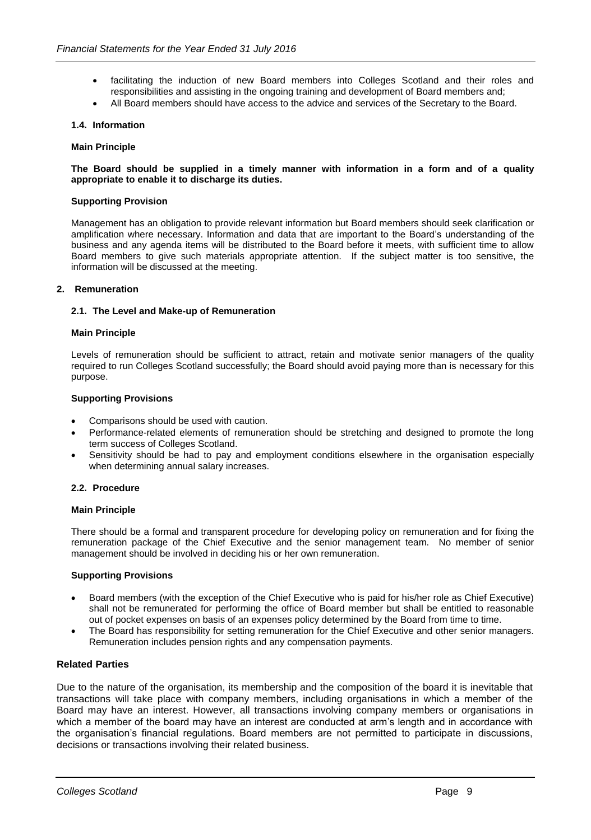- facilitating the induction of new Board members into Colleges Scotland and their roles and responsibilities and assisting in the ongoing training and development of Board members and;
- All Board members should have access to the advice and services of the Secretary to the Board.

### **1.4. Information**

#### **Main Principle**

#### **The Board should be supplied in a timely manner with information in a form and of a quality appropriate to enable it to discharge its duties.**

#### **Supporting Provision**

Management has an obligation to provide relevant information but Board members should seek clarification or amplification where necessary. Information and data that are important to the Board's understanding of the business and any agenda items will be distributed to the Board before it meets, with sufficient time to allow Board members to give such materials appropriate attention. If the subject matter is too sensitive, the information will be discussed at the meeting.

# **2. Remuneration**

#### **2.1. The Level and Make-up of Remuneration**

#### **Main Principle**

Levels of remuneration should be sufficient to attract, retain and motivate senior managers of the quality required to run Colleges Scotland successfully; the Board should avoid paying more than is necessary for this purpose.

#### **Supporting Provisions**

- Comparisons should be used with caution.
- Performance-related elements of remuneration should be stretching and designed to promote the long term success of Colleges Scotland.
- Sensitivity should be had to pay and employment conditions elsewhere in the organisation especially when determining annual salary increases.

### **2.2. Procedure**

#### **Main Principle**

There should be a formal and transparent procedure for developing policy on remuneration and for fixing the remuneration package of the Chief Executive and the senior management team. No member of senior management should be involved in deciding his or her own remuneration.

### **Supporting Provisions**

- Board members (with the exception of the Chief Executive who is paid for his/her role as Chief Executive) shall not be remunerated for performing the office of Board member but shall be entitled to reasonable out of pocket expenses on basis of an expenses policy determined by the Board from time to time.
- The Board has responsibility for setting remuneration for the Chief Executive and other senior managers. Remuneration includes pension rights and any compensation payments.

# **Related Parties**

Due to the nature of the organisation, its membership and the composition of the board it is inevitable that transactions will take place with company members, including organisations in which a member of the Board may have an interest. However, all transactions involving company members or organisations in which a member of the board may have an interest are conducted at arm's length and in accordance with the organisation's financial regulations. Board members are not permitted to participate in discussions, decisions or transactions involving their related business.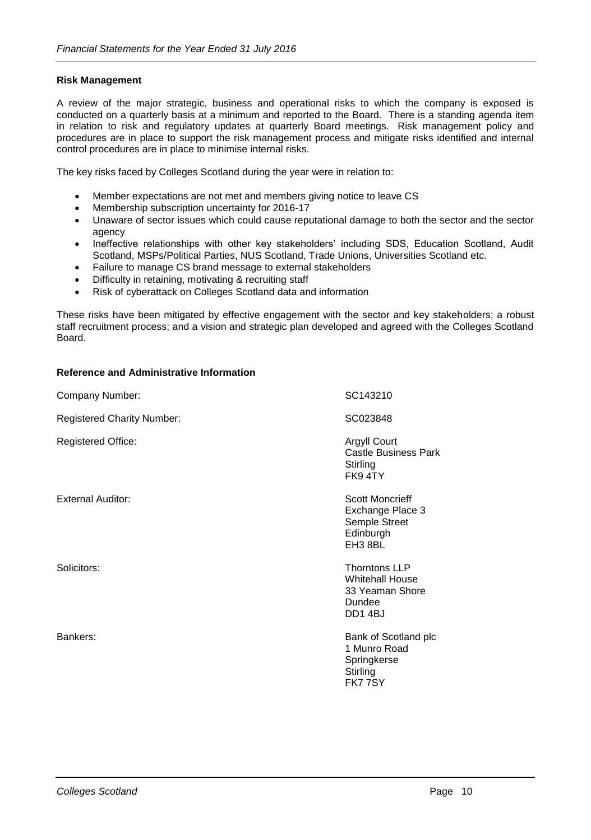# **Risk Management**

A review of the major strategic, business and operational risks to which the company is exposed is conducted on a quarterly basis at a minimum and reported to the Board. There is a standing agenda item in relation to risk and regulatory updates at quarterly Board meetings. Risk management policy and procedures are in place to support the risk management process and mitigate risks identified and internal control procedures are in place to minimise internal risks.

The key risks faced by Colleges Scotland during the year were in relation to:

- Member expectations are not met and members giving notice to leave CS
- Membership subscription uncertainty for 2016-17
- Unaware of sector issues which could cause reputational damage to both the sector and the sector agency
- Ineffective relationships with other key stakeholders' including SDS, Education Scotland, Audit Scotland, MSPs/Political Parties, NUS Scotland, Trade Unions, Universities Scotland etc.
- Failure to manage CS brand message to external stakeholders
- Difficulty in retaining, motivating & recruiting staff
- Risk of cyberattack on Colleges Scotland data and information

These risks have been mitigated by effective engagement with the sector and key stakeholders; a robust staff recruitment process; and a vision and strategic plan developed and agreed with the Colleges Scotland Board.

# **Reference and Administrative Information**

| Company Number:                   | SC143210                                                                              |
|-----------------------------------|---------------------------------------------------------------------------------------|
| <b>Registered Charity Number:</b> | SC023848                                                                              |
| <b>Registered Office:</b>         | <b>Argyll Court</b><br><b>Castle Business Park</b><br>Stirling<br>FK94TY              |
| <b>External Auditor:</b>          | <b>Scott Moncrieff</b><br>Exchange Place 3<br>Semple Street<br>Edinburgh<br>EH3 8BL   |
| Solicitors:                       | <b>Thorntons LLP</b><br><b>Whitehall House</b><br>33 Yeaman Shore<br>Dundee<br>DD14BJ |
| Bankers:                          | Bank of Scotland plc<br>1 Munro Road<br>Springkerse<br>Stirling<br>FK77SY             |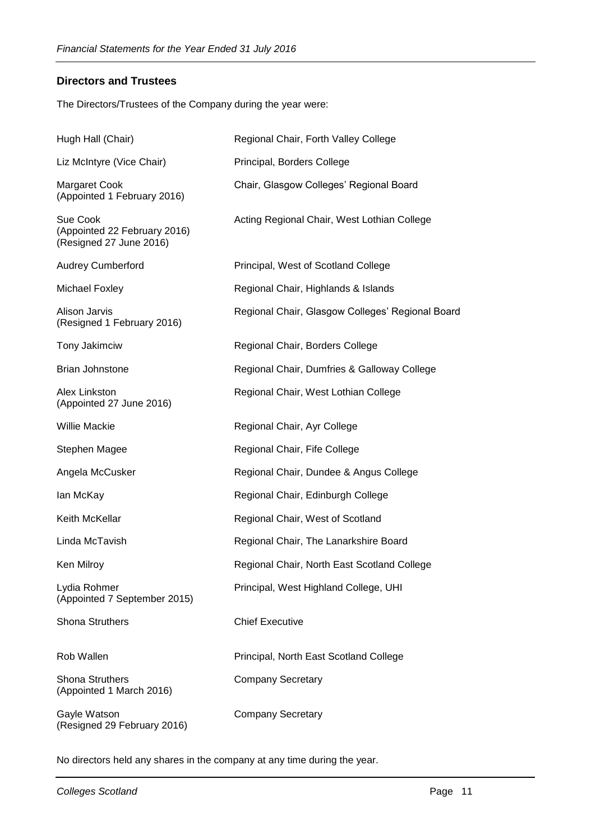# **Directors and Trustees**

The Directors/Trustees of the Company during the year were:

| Hugh Hall (Chair)                                                   | Regional Chair, Forth Valley College             |
|---------------------------------------------------------------------|--------------------------------------------------|
| Liz McIntyre (Vice Chair)                                           | Principal, Borders College                       |
| <b>Margaret Cook</b><br>(Appointed 1 February 2016)                 | Chair, Glasgow Colleges' Regional Board          |
| Sue Cook<br>(Appointed 22 February 2016)<br>(Resigned 27 June 2016) | Acting Regional Chair, West Lothian College      |
| <b>Audrey Cumberford</b>                                            | Principal, West of Scotland College              |
| Michael Foxley                                                      | Regional Chair, Highlands & Islands              |
| <b>Alison Jarvis</b><br>(Resigned 1 February 2016)                  | Regional Chair, Glasgow Colleges' Regional Board |
| Tony Jakimciw                                                       | Regional Chair, Borders College                  |
| <b>Brian Johnstone</b>                                              | Regional Chair, Dumfries & Galloway College      |
| Alex Linkston<br>(Appointed 27 June 2016)                           | Regional Chair, West Lothian College             |
| <b>Willie Mackie</b>                                                | Regional Chair, Ayr College                      |
| Stephen Magee                                                       | Regional Chair, Fife College                     |
| Angela McCusker                                                     | Regional Chair, Dundee & Angus College           |
| lan McKay                                                           | Regional Chair, Edinburgh College                |
| Keith McKellar                                                      | Regional Chair, West of Scotland                 |
| Linda McTavish                                                      | Regional Chair, The Lanarkshire Board            |
| Ken Milroy                                                          | Regional Chair, North East Scotland College      |
| Lydia Rohmer<br>(Appointed 7 September 2015)                        | Principal, West Highland College, UHI            |
| <b>Shona Struthers</b>                                              | <b>Chief Executive</b>                           |
| Rob Wallen                                                          | Principal, North East Scotland College           |
| <b>Shona Struthers</b><br>(Appointed 1 March 2016)                  | <b>Company Secretary</b>                         |
| Gayle Watson<br>(Resigned 29 February 2016)                         | <b>Company Secretary</b>                         |

No directors held any shares in the company at any time during the year.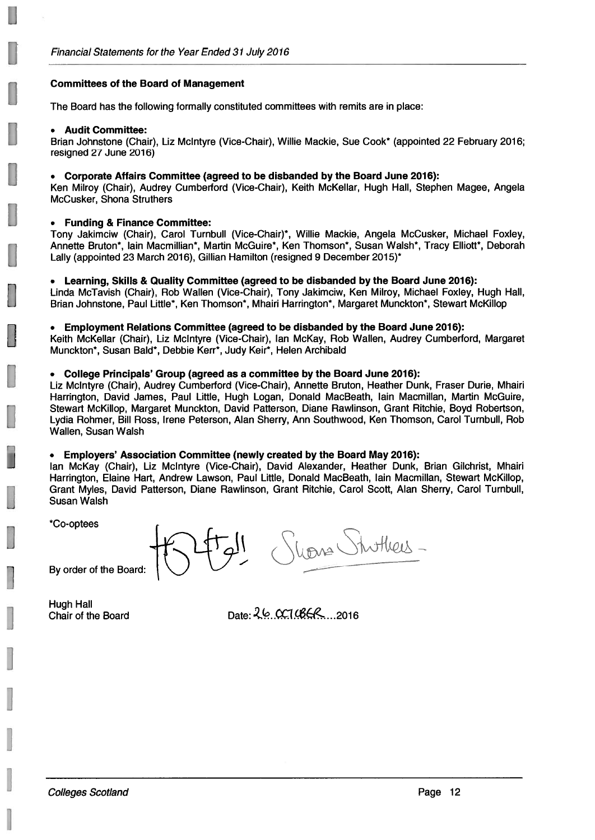# **Committees of the Board of Management**

The Board has the following formally constituted committees with remits are in place:

### • Audit Committee:

Brian Johnstone (Chair), Liz McIntyre (Vice-Chair), Willie Mackie, Sue Cook\* (appointed 22 February 2016; resigned 27 June 2016)

# • Corporate Affairs Committee (agreed to be disbanded by the Board June 2016):

Ken Milroy (Chair), Audrey Cumberford (Vice-Chair), Keith McKellar, Hugh Hall, Stephen Magee, Angela McCusker, Shona Struthers

# • Funding & Finance Committee:

Tony Jakimciw (Chair), Carol Turnbull (Vice-Chair)\*, Willie Mackie, Angela McCusker, Michael Foxley, Annette Bruton\*, lain Macmillian\*, Martin McGuire\*, Ken Thomson\*, Susan Walsh\*, Tracy Elliott\*, Deborah Lally (appointed 23 March 2016), Gillian Hamilton (resigned 9 December 2015)\*

# • Learning, Skills & Quality Committee (agreed to be disbanded by the Board June 2016):

Linda McTavish (Chair), Rob Wallen (Vice-Chair), Tony Jakimciw, Ken Milroy, Michael Foxley, Hugh Hall, Brian Johnstone, Paul Little\*, Ken Thomson\*, Mhairi Harrington\*, Margaret Munckton\*, Stewart McKillop

# • Employment Relations Committee (agreed to be disbanded by the Board June 2016):

Keith McKellar (Chair), Liz McIntyre (Vice-Chair), Ian McKay, Rob Wallen, Audrey Cumberford, Margaret Munckton\*, Susan Bald\*, Debbie Kerr\*, Judy Keir\*, Helen Archibald

# • College Principals' Group (agreed as a committee by the Board June 2016):

Liz McIntyre (Chair), Audrey Cumberford (Vice-Chair), Annette Bruton, Heather Dunk, Fraser Durie, Mhairi Harrington, David James, Paul Little, Hugh Logan, Donald MacBeath, Iain Macmillan, Martin McGuire, Stewart McKillop, Margaret Munckton, David Patterson, Diane Rawlinson, Grant Ritchie, Boyd Robertson, Lydia Rohmer, Bill Ross, Irene Peterson, Alan Sherry, Ann Southwood, Ken Thomson, Carol Turnbull, Rob Wallen, Susan Walsh

# • Employers' Association Committee (newly created by the Board May 2016):

lan McKay (Chair), Liz McIntyre (Vice-Chair), David Alexander, Heather Dunk, Brian Gilchrist, Mhairi Harrington, Elaine Hart, Andrew Lawson, Paul Little, Donald MacBeath, Iain Macmillan, Stewart McKillop, Grant Myles, David Patterson, Diane Rawlinson, Grant Ritchie, Carol Scott, Alan Sherry, Carol Turnbull, **Susan Walsh** 

\*Co-optees

Viona Stuttiers-

By order of the Board:

**Hugh Hall** Chair of the Board

Date:  $26.0210668...2016$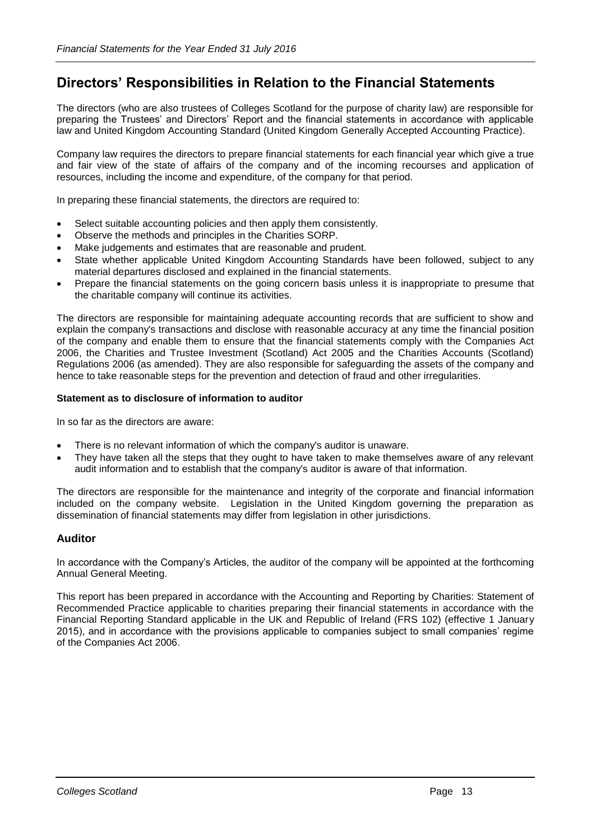# **Directors' Responsibilities in Relation to the Financial Statements**

The directors (who are also trustees of Colleges Scotland for the purpose of charity law) are responsible for preparing the Trustees' and Directors' Report and the financial statements in accordance with applicable law and United Kingdom Accounting Standard (United Kingdom Generally Accepted Accounting Practice).

Company law requires the directors to prepare financial statements for each financial year which give a true and fair view of the state of affairs of the company and of the incoming recourses and application of resources, including the income and expenditure, of the company for that period.

In preparing these financial statements, the directors are required to:

- Select suitable accounting policies and then apply them consistently.
- Observe the methods and principles in the Charities SORP.
- Make judgements and estimates that are reasonable and prudent.
- State whether applicable United Kingdom Accounting Standards have been followed, subject to any material departures disclosed and explained in the financial statements.
- Prepare the financial statements on the going concern basis unless it is inappropriate to presume that the charitable company will continue its activities.

The directors are responsible for maintaining adequate accounting records that are sufficient to show and explain the company's transactions and disclose with reasonable accuracy at any time the financial position of the company and enable them to ensure that the financial statements comply with the Companies Act 2006, the Charities and Trustee Investment (Scotland) Act 2005 and the Charities Accounts (Scotland) Regulations 2006 (as amended). They are also responsible for safeguarding the assets of the company and hence to take reasonable steps for the prevention and detection of fraud and other irregularities.

# **Statement as to disclosure of information to auditor**

In so far as the directors are aware:

- There is no relevant information of which the company's auditor is unaware.
- They have taken all the steps that they ought to have taken to make themselves aware of any relevant audit information and to establish that the company's auditor is aware of that information.

The directors are responsible for the maintenance and integrity of the corporate and financial information included on the company website. Legislation in the United Kingdom governing the preparation as dissemination of financial statements may differ from legislation in other jurisdictions.

# **Auditor**

In accordance with the Company's Articles, the auditor of the company will be appointed at the forthcoming Annual General Meeting.

This report has been prepared in accordance with the Accounting and Reporting by Charities: Statement of Recommended Practice applicable to charities preparing their financial statements in accordance with the Financial Reporting Standard applicable in the UK and Republic of Ireland (FRS 102) (effective 1 January 2015), and in accordance with the provisions applicable to companies subject to small companies' regime of the Companies Act 2006.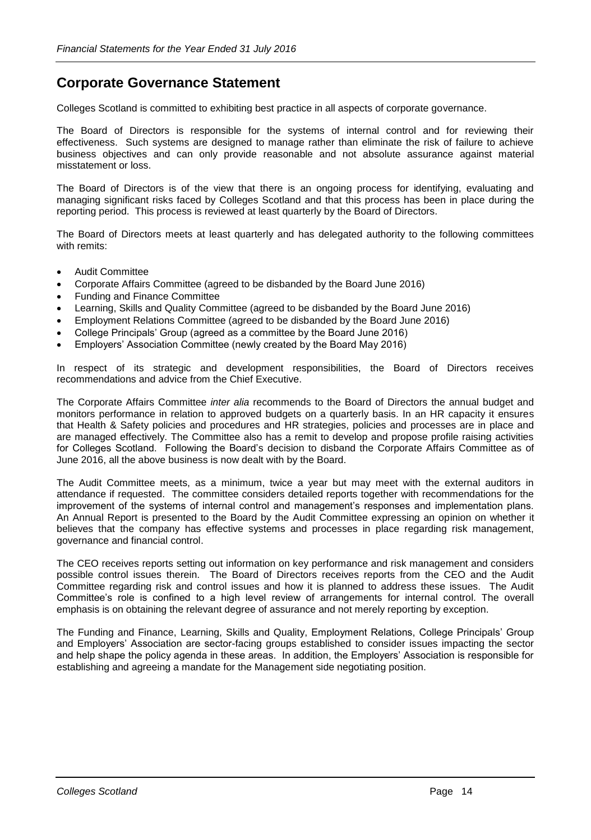# **Corporate Governance Statement**

Colleges Scotland is committed to exhibiting best practice in all aspects of corporate governance.

The Board of Directors is responsible for the systems of internal control and for reviewing their effectiveness. Such systems are designed to manage rather than eliminate the risk of failure to achieve business objectives and can only provide reasonable and not absolute assurance against material misstatement or loss.

The Board of Directors is of the view that there is an ongoing process for identifying, evaluating and managing significant risks faced by Colleges Scotland and that this process has been in place during the reporting period. This process is reviewed at least quarterly by the Board of Directors.

The Board of Directors meets at least quarterly and has delegated authority to the following committees with remits:

- Audit Committee
- Corporate Affairs Committee (agreed to be disbanded by the Board June 2016)
- Funding and Finance Committee
- Learning, Skills and Quality Committee (agreed to be disbanded by the Board June 2016)
- Employment Relations Committee (agreed to be disbanded by the Board June 2016)
- College Principals' Group (agreed as a committee by the Board June 2016)
- Employers' Association Committee (newly created by the Board May 2016)

In respect of its strategic and development responsibilities, the Board of Directors receives recommendations and advice from the Chief Executive.

The Corporate Affairs Committee *inter alia* recommends to the Board of Directors the annual budget and monitors performance in relation to approved budgets on a quarterly basis. In an HR capacity it ensures that Health & Safety policies and procedures and HR strategies, policies and processes are in place and are managed effectively. The Committee also has a remit to develop and propose profile raising activities for Colleges Scotland. Following the Board's decision to disband the Corporate Affairs Committee as of June 2016, all the above business is now dealt with by the Board.

The Audit Committee meets, as a minimum, twice a year but may meet with the external auditors in attendance if requested. The committee considers detailed reports together with recommendations for the improvement of the systems of internal control and management's responses and implementation plans. An Annual Report is presented to the Board by the Audit Committee expressing an opinion on whether it believes that the company has effective systems and processes in place regarding risk management, governance and financial control.

The CEO receives reports setting out information on key performance and risk management and considers possible control issues therein. The Board of Directors receives reports from the CEO and the Audit Committee regarding risk and control issues and how it is planned to address these issues. The Audit Committee's role is confined to a high level review of arrangements for internal control. The overall emphasis is on obtaining the relevant degree of assurance and not merely reporting by exception.

The Funding and Finance, Learning, Skills and Quality, Employment Relations, College Principals' Group and Employers' Association are sector-facing groups established to consider issues impacting the sector and help shape the policy agenda in these areas. In addition, the Employers' Association is responsible for establishing and agreeing a mandate for the Management side negotiating position.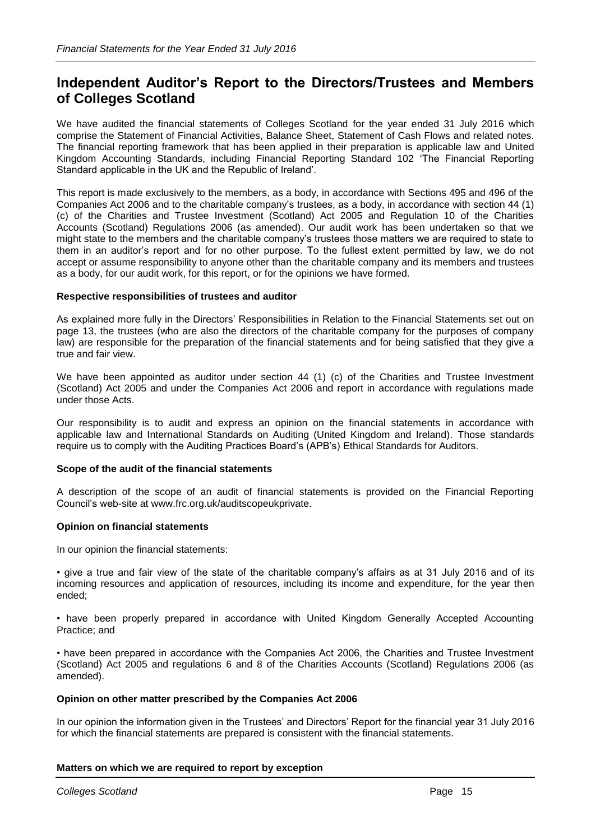# **Independent Auditor's Report to the Directors/Trustees and Members of Colleges Scotland**

We have audited the financial statements of Colleges Scotland for the year ended 31 July 2016 which comprise the Statement of Financial Activities, Balance Sheet, Statement of Cash Flows and related notes. The financial reporting framework that has been applied in their preparation is applicable law and United Kingdom Accounting Standards, including Financial Reporting Standard 102 'The Financial Reporting Standard applicable in the UK and the Republic of Ireland'.

This report is made exclusively to the members, as a body, in accordance with Sections 495 and 496 of the Companies Act 2006 and to the charitable company's trustees, as a body, in accordance with section 44 (1) (c) of the Charities and Trustee Investment (Scotland) Act 2005 and Regulation 10 of the Charities Accounts (Scotland) Regulations 2006 (as amended). Our audit work has been undertaken so that we might state to the members and the charitable company's trustees those matters we are required to state to them in an auditor's report and for no other purpose. To the fullest extent permitted by law, we do not accept or assume responsibility to anyone other than the charitable company and its members and trustees as a body, for our audit work, for this report, or for the opinions we have formed.

# **Respective responsibilities of trustees and auditor**

As explained more fully in the Directors' Responsibilities in Relation to the Financial Statements set out on page 13, the trustees (who are also the directors of the charitable company for the purposes of company law) are responsible for the preparation of the financial statements and for being satisfied that they give a true and fair view.

We have been appointed as auditor under section 44 (1) (c) of the Charities and Trustee Investment (Scotland) Act 2005 and under the Companies Act 2006 and report in accordance with regulations made under those Acts.

Our responsibility is to audit and express an opinion on the financial statements in accordance with applicable law and International Standards on Auditing (United Kingdom and Ireland). Those standards require us to comply with the Auditing Practices Board's (APB's) Ethical Standards for Auditors.

### **Scope of the audit of the financial statements**

A description of the scope of an audit of financial statements is provided on the Financial Reporting Council's web-site at www.frc.org.uk/auditscopeukprivate.

### **Opinion on financial statements**

In our opinion the financial statements:

• give a true and fair view of the state of the charitable company's affairs as at 31 July 2016 and of its incoming resources and application of resources, including its income and expenditure, for the year then ended;

• have been properly prepared in accordance with United Kingdom Generally Accepted Accounting Practice; and

• have been prepared in accordance with the Companies Act 2006, the Charities and Trustee Investment (Scotland) Act 2005 and regulations 6 and 8 of the Charities Accounts (Scotland) Regulations 2006 (as amended).

### **Opinion on other matter prescribed by the Companies Act 2006**

In our opinion the information given in the Trustees' and Directors' Report for the financial year 31 July 2016 for which the financial statements are prepared is consistent with the financial statements.

### **Matters on which we are required to report by exception**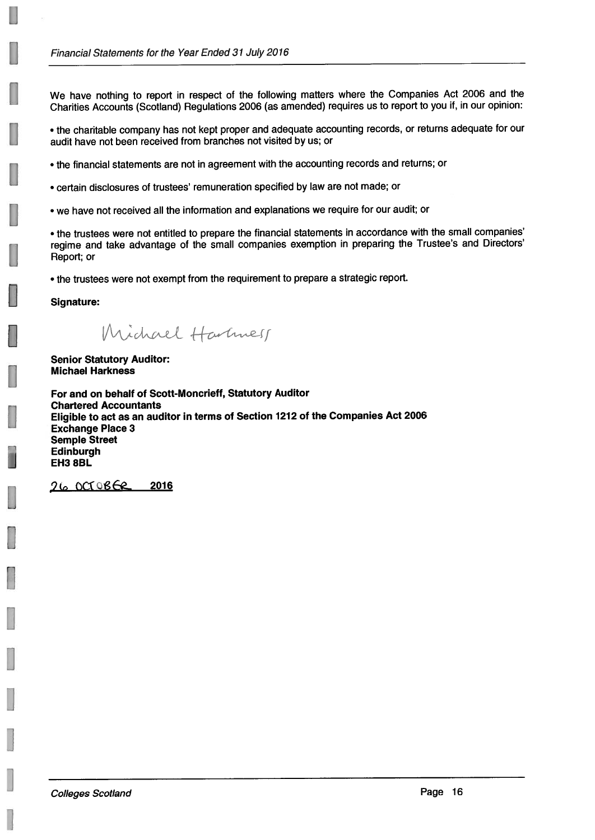We have nothing to report in respect of the following matters where the Companies Act 2006 and the Charities Accounts (Scotland) Regulations 2006 (as amended) requires us to report to you if, in our opinion:

. the charitable company has not kept proper and adequate accounting records, or returns adequate for our audit have not been received from branches not visited by us; or

- . the financial statements are not in agreement with the accounting records and returns; or
- certain disclosures of trustees' remuneration specified by law are not made; or
- we have not received all the information and explanations we require for our audit; or

• the trustees were not entitled to prepare the financial statements in accordance with the small companies' regime and take advantage of the small companies exemption in preparing the Trustee's and Directors' Report; or

• the trustees were not exempt from the requirement to prepare a strategic report.

**Signature:** 

Michael Hartmess

**Senior Statutory Auditor: Michael Harkness** 

For and on behalf of Scott-Moncrieff, Statutory Auditor **Chartered Accountants** Eligible to act as an auditor in terms of Section 1212 of the Companies Act 2006 **Exchange Place 3 Semple Street** Edinburgh EH3 8BL

26 OCTOBER 2016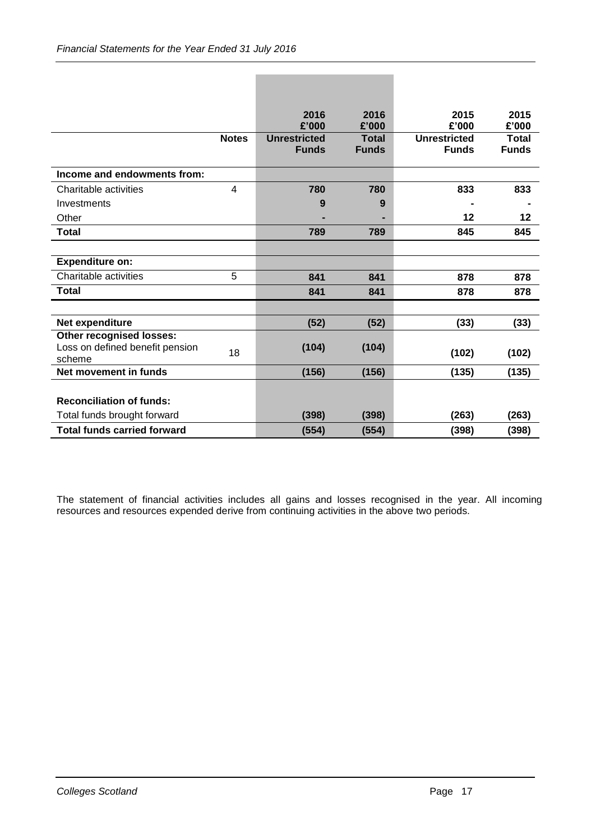|                                           |              | 2016                | 2016         | 2015                | 2015         |
|-------------------------------------------|--------------|---------------------|--------------|---------------------|--------------|
|                                           |              | £'000               | £'000        | £'000               | £'000        |
|                                           | <b>Notes</b> | <b>Unrestricted</b> | <b>Total</b> | <b>Unrestricted</b> | <b>Total</b> |
|                                           |              | <b>Funds</b>        | <b>Funds</b> | <b>Funds</b>        | <b>Funds</b> |
| Income and endowments from:               |              |                     |              |                     |              |
| Charitable activities                     | 4            | 780                 | 780          | 833                 | 833          |
| Investments                               |              | 9                   | 9            |                     |              |
| Other                                     |              |                     |              | 12                  | 12           |
| <b>Total</b>                              |              | 789                 | 789          | 845                 | 845          |
|                                           |              |                     |              |                     |              |
| <b>Expenditure on:</b>                    |              |                     |              |                     |              |
| Charitable activities                     | 5            | 841                 | 841          | 878                 | 878          |
| <b>Total</b>                              |              | 841                 | 841          | 878                 | 878          |
|                                           |              |                     |              |                     |              |
| Net expenditure                           |              | (52)                | (52)         | (33)                | (33)         |
| Other recognised losses:                  |              |                     |              |                     |              |
| Loss on defined benefit pension<br>scheme | 18           | (104)               | (104)        | (102)               | (102)        |
| Net movement in funds                     |              | (156)               | (156)        | (135)               | (135)        |
|                                           |              |                     |              |                     |              |
| <b>Reconciliation of funds:</b>           |              |                     |              |                     |              |
| Total funds brought forward               |              | (398)               | (398)        | (263)               | (263)        |
| <b>Total funds carried forward</b>        |              | (554)               | (554)        | (398)               | (398)        |

The statement of financial activities includes all gains and losses recognised in the year. All incoming resources and resources expended derive from continuing activities in the above two periods.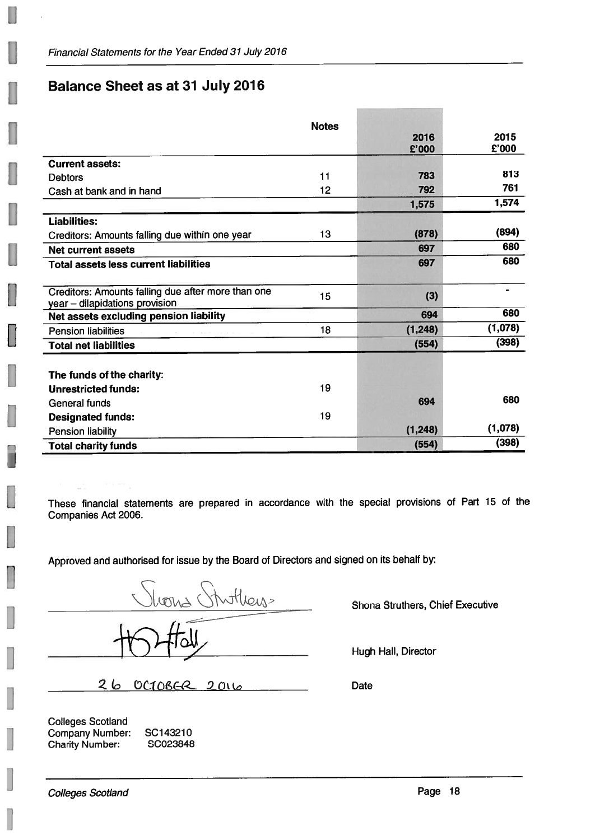# **Balance Sheet as at 31 July 2016**

|                                                                                      | <b>Notes</b> | 2016<br>£'000 | 2015<br>£'000 |
|--------------------------------------------------------------------------------------|--------------|---------------|---------------|
| <b>Current assets:</b>                                                               |              |               |               |
| <b>Debtors</b>                                                                       | 11           | 783           | 813           |
| Cash at bank and in hand                                                             | 12           | 792           | 761           |
|                                                                                      |              | 1,575         | 1,574         |
| <b>Liabilities:</b>                                                                  |              |               |               |
| Creditors: Amounts falling due within one year                                       | 13           | (878)         | (894)         |
| <b>Net current assets</b>                                                            |              | 697           | 680           |
| <b>Total assets less current liabilities</b>                                         |              | 697           | 680           |
| Creditors: Amounts falling due after more than one<br>year - dilapidations provision | 15           | (3)           |               |
| Net assets excluding pension liability                                               |              | 694           | 680           |
| <b>Pension liabilities</b>                                                           | 18           | (1, 248)      | (1,078)       |
| <b>Total net liabilities</b>                                                         |              | (554)         | (398)         |
| The funds of the charity:<br><b>Unrestricted funds:</b>                              | 19           |               |               |
| General funds                                                                        |              | 694           | 680           |
| <b>Designated funds:</b>                                                             | 19           |               |               |
| Pension liability                                                                    |              | (1, 248)      | (1,078)       |
| <b>Total charity funds</b>                                                           |              | (554)         | (398)         |

These financial statements are prepared in accordance with the special provisions of Part 15 of the Companies Act 2006.

Approved and authorised for issue by the Board of Directors and signed on its behalf by:

hong Stuthers.

Shona Struthers, Chief Executive

Hugh Hall, Director

26 OCTOBER 2016

**Colleges Scotland Company Number: Charity Number:** 

Đ

SC143210 SC023848 **Date**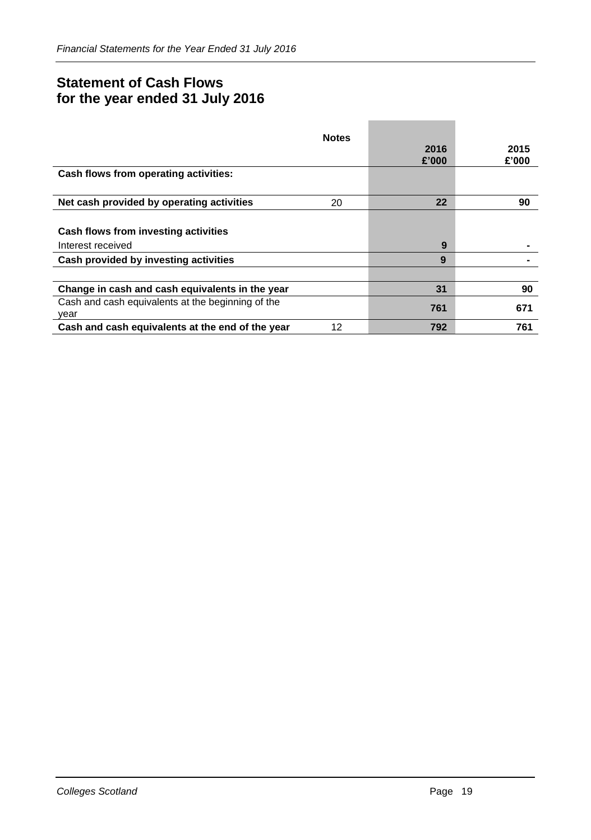# **Statement of Cash Flows for the year ended 31 July 2016**

|                                                           | <b>Notes</b> | 2016<br>£'000 | 2015<br>£'000 |
|-----------------------------------------------------------|--------------|---------------|---------------|
| Cash flows from operating activities:                     |              |               |               |
| Net cash provided by operating activities                 | 20           | 22            | 90            |
| Cash flows from investing activities<br>Interest received |              | 9             |               |
| Cash provided by investing activities                     |              | 9             |               |
|                                                           |              |               |               |
| Change in cash and cash equivalents in the year           |              | 31            | 90            |
| Cash and cash equivalents at the beginning of the<br>year |              | 761           | 671           |
| Cash and cash equivalents at the end of the year          | 12           | 792           | 761           |

**The Committee Committee** 

÷.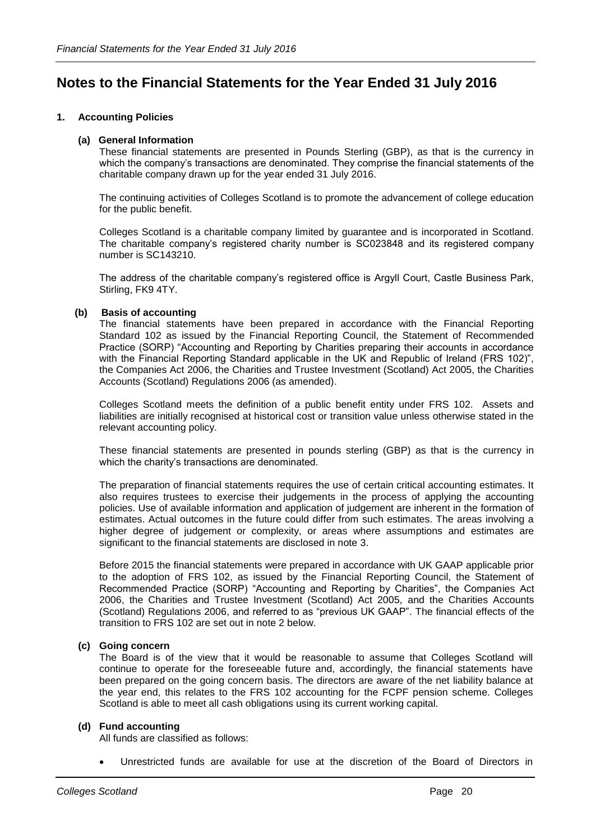# **Notes to the Financial Statements for the Year Ended 31 July 2016**

# **1. Accounting Policies**

# **(a) General Information**

These financial statements are presented in Pounds Sterling (GBP), as that is the currency in which the company's transactions are denominated. They comprise the financial statements of the charitable company drawn up for the year ended 31 July 2016.

The continuing activities of Colleges Scotland is to promote the advancement of college education for the public benefit.

Colleges Scotland is a charitable company limited by guarantee and is incorporated in Scotland. The charitable company's registered charity number is SC023848 and its registered company number is SC143210.

The address of the charitable company's registered office is Argyll Court, Castle Business Park, Stirling, FK9 4TY.

# **(b) Basis of accounting**

The financial statements have been prepared in accordance with the Financial Reporting Standard 102 as issued by the Financial Reporting Council, the Statement of Recommended Practice (SORP) "Accounting and Reporting by Charities preparing their accounts in accordance with the Financial Reporting Standard applicable in the UK and Republic of Ireland (FRS 102)", the Companies Act 2006, the Charities and Trustee Investment (Scotland) Act 2005, the Charities Accounts (Scotland) Regulations 2006 (as amended).

Colleges Scotland meets the definition of a public benefit entity under FRS 102. Assets and liabilities are initially recognised at historical cost or transition value unless otherwise stated in the relevant accounting policy.

These financial statements are presented in pounds sterling (GBP) as that is the currency in which the charity's transactions are denominated.

The preparation of financial statements requires the use of certain critical accounting estimates. It also requires trustees to exercise their judgements in the process of applying the accounting policies. Use of available information and application of judgement are inherent in the formation of estimates. Actual outcomes in the future could differ from such estimates. The areas involving a higher degree of judgement or complexity, or areas where assumptions and estimates are significant to the financial statements are disclosed in note 3.

Before 2015 the financial statements were prepared in accordance with UK GAAP applicable prior to the adoption of FRS 102, as issued by the Financial Reporting Council, the Statement of Recommended Practice (SORP) "Accounting and Reporting by Charities", the Companies Act 2006, the Charities and Trustee Investment (Scotland) Act 2005, and the Charities Accounts (Scotland) Regulations 2006, and referred to as "previous UK GAAP". The financial effects of the transition to FRS 102 are set out in note 2 below.

### **(c) Going concern**

The Board is of the view that it would be reasonable to assume that Colleges Scotland will continue to operate for the foreseeable future and, accordingly, the financial statements have been prepared on the going concern basis. The directors are aware of the net liability balance at the year end, this relates to the FRS 102 accounting for the FCPF pension scheme. Colleges Scotland is able to meet all cash obligations using its current working capital.

### **(d) Fund accounting**

All funds are classified as follows:

• Unrestricted funds are available for use at the discretion of the Board of Directors in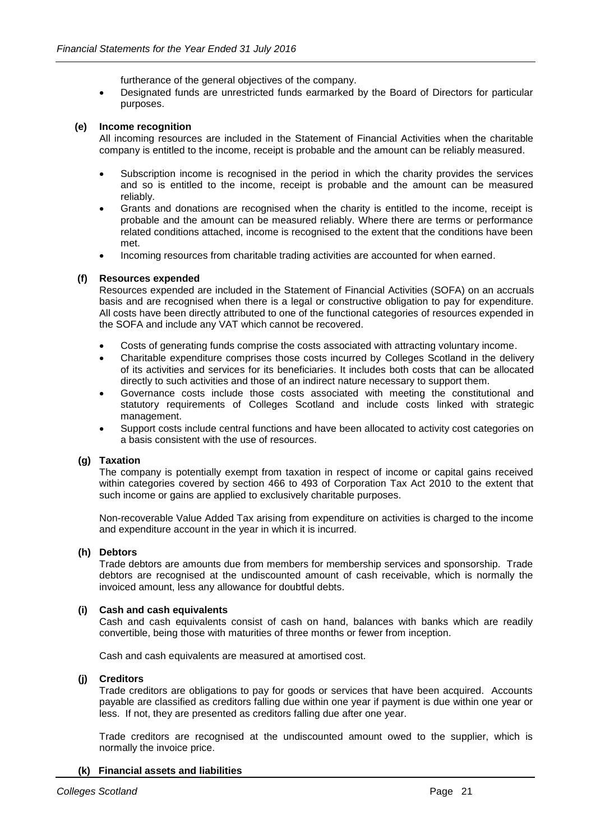furtherance of the general objectives of the company.

• Designated funds are unrestricted funds earmarked by the Board of Directors for particular purposes.

# **(e) Income recognition**

All incoming resources are included in the Statement of Financial Activities when the charitable company is entitled to the income, receipt is probable and the amount can be reliably measured.

- Subscription income is recognised in the period in which the charity provides the services and so is entitled to the income, receipt is probable and the amount can be measured reliably.
- Grants and donations are recognised when the charity is entitled to the income, receipt is probable and the amount can be measured reliably. Where there are terms or performance related conditions attached, income is recognised to the extent that the conditions have been met.
- Incoming resources from charitable trading activities are accounted for when earned.

# **(f) Resources expended**

Resources expended are included in the Statement of Financial Activities (SOFA) on an accruals basis and are recognised when there is a legal or constructive obligation to pay for expenditure. All costs have been directly attributed to one of the functional categories of resources expended in the SOFA and include any VAT which cannot be recovered.

- Costs of generating funds comprise the costs associated with attracting voluntary income.
- Charitable expenditure comprises those costs incurred by Colleges Scotland in the delivery of its activities and services for its beneficiaries. It includes both costs that can be allocated directly to such activities and those of an indirect nature necessary to support them.
- Governance costs include those costs associated with meeting the constitutional and statutory requirements of Colleges Scotland and include costs linked with strategic management.
- Support costs include central functions and have been allocated to activity cost categories on a basis consistent with the use of resources.

# **(g) Taxation**

The company is potentially exempt from taxation in respect of income or capital gains received within categories covered by section 466 to 493 of Corporation Tax Act 2010 to the extent that such income or gains are applied to exclusively charitable purposes.

Non-recoverable Value Added Tax arising from expenditure on activities is charged to the income and expenditure account in the year in which it is incurred.

### **(h) Debtors**

Trade debtors are amounts due from members for membership services and sponsorship. Trade debtors are recognised at the undiscounted amount of cash receivable, which is normally the invoiced amount, less any allowance for doubtful debts.

### **(i) Cash and cash equivalents**

Cash and cash equivalents consist of cash on hand, balances with banks which are readily convertible, being those with maturities of three months or fewer from inception.

Cash and cash equivalents are measured at amortised cost.

### **(j) Creditors**

Trade creditors are obligations to pay for goods or services that have been acquired. Accounts payable are classified as creditors falling due within one year if payment is due within one year or less. If not, they are presented as creditors falling due after one year.

Trade creditors are recognised at the undiscounted amount owed to the supplier, which is normally the invoice price.

# **(k) Financial assets and liabilities**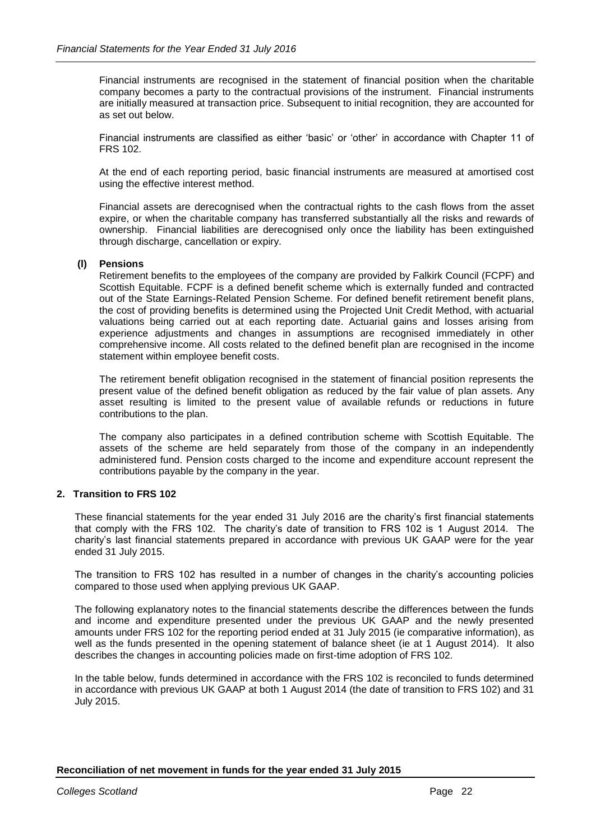Financial instruments are recognised in the statement of financial position when the charitable company becomes a party to the contractual provisions of the instrument. Financial instruments are initially measured at transaction price. Subsequent to initial recognition, they are accounted for as set out below.

Financial instruments are classified as either 'basic' or 'other' in accordance with Chapter 11 of FRS 102.

At the end of each reporting period, basic financial instruments are measured at amortised cost using the effective interest method.

Financial assets are derecognised when the contractual rights to the cash flows from the asset expire, or when the charitable company has transferred substantially all the risks and rewards of ownership. Financial liabilities are derecognised only once the liability has been extinguished through discharge, cancellation or expiry.

# **(l) Pensions**

Retirement benefits to the employees of the company are provided by Falkirk Council (FCPF) and Scottish Equitable. FCPF is a defined benefit scheme which is externally funded and contracted out of the State Earnings-Related Pension Scheme. For defined benefit retirement benefit plans, the cost of providing benefits is determined using the Projected Unit Credit Method, with actuarial valuations being carried out at each reporting date. Actuarial gains and losses arising from experience adjustments and changes in assumptions are recognised immediately in other comprehensive income. All costs related to the defined benefit plan are recognised in the income statement within employee benefit costs.

The retirement benefit obligation recognised in the statement of financial position represents the present value of the defined benefit obligation as reduced by the fair value of plan assets. Any asset resulting is limited to the present value of available refunds or reductions in future contributions to the plan.

The company also participates in a defined contribution scheme with Scottish Equitable. The assets of the scheme are held separately from those of the company in an independently administered fund. Pension costs charged to the income and expenditure account represent the contributions payable by the company in the year.

# **2. Transition to FRS 102**

These financial statements for the year ended 31 July 2016 are the charity's first financial statements that comply with the FRS 102. The charity's date of transition to FRS 102 is 1 August 2014. The charity's last financial statements prepared in accordance with previous UK GAAP were for the year ended 31 July 2015.

The transition to FRS 102 has resulted in a number of changes in the charity's accounting policies compared to those used when applying previous UK GAAP.

The following explanatory notes to the financial statements describe the differences between the funds and income and expenditure presented under the previous UK GAAP and the newly presented amounts under FRS 102 for the reporting period ended at 31 July 2015 (ie comparative information), as well as the funds presented in the opening statement of balance sheet (ie at 1 August 2014). It also describes the changes in accounting policies made on first-time adoption of FRS 102.

In the table below, funds determined in accordance with the FRS 102 is reconciled to funds determined in accordance with previous UK GAAP at both 1 August 2014 (the date of transition to FRS 102) and 31 July 2015.

**Reconciliation of net movement in funds for the year ended 31 July 2015**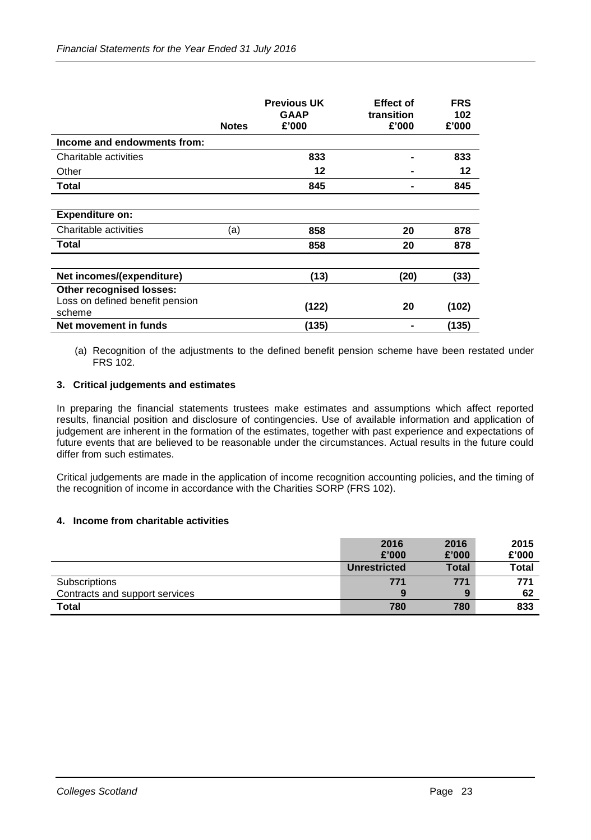|                                           | <b>Notes</b> | <b>Previous UK</b><br><b>GAAP</b><br>£'000 | <b>Effect of</b><br>transition<br>£'000 | <b>FRS</b><br>102<br>£'000 |
|-------------------------------------------|--------------|--------------------------------------------|-----------------------------------------|----------------------------|
| Income and endowments from:               |              |                                            |                                         |                            |
| Charitable activities                     |              | 833                                        |                                         | 833                        |
| Other                                     |              | 12                                         |                                         | 12                         |
| Total                                     |              | 845                                        |                                         | 845                        |
|                                           |              |                                            |                                         |                            |
| <b>Expenditure on:</b>                    |              |                                            |                                         |                            |
| Charitable activities                     | (a)          | 858                                        | 20                                      | 878                        |
| Total                                     |              | 858                                        | 20                                      | 878                        |
|                                           |              |                                            |                                         |                            |
| Net incomes/(expenditure)                 |              | (13)                                       | (20)                                    | (33)                       |
| <b>Other recognised losses:</b>           |              |                                            |                                         |                            |
| Loss on defined benefit pension<br>scheme |              | (122)                                      | 20                                      | (102)                      |
| Net movement in funds                     |              | (135)                                      |                                         | (135)                      |

(a) Recognition of the adjustments to the defined benefit pension scheme have been restated under FRS 102.

# **3. Critical judgements and estimates**

In preparing the financial statements trustees make estimates and assumptions which affect reported results, financial position and disclosure of contingencies. Use of available information and application of judgement are inherent in the formation of the estimates, together with past experience and expectations of future events that are believed to be reasonable under the circumstances. Actual results in the future could differ from such estimates.

Critical judgements are made in the application of income recognition accounting policies, and the timing of the recognition of income in accordance with the Charities SORP (FRS 102).

# **4. Income from charitable activities**

|                                | 2016                | 2016         | 2015         |
|--------------------------------|---------------------|--------------|--------------|
|                                | £'000               | £'000        | £'000        |
|                                | <b>Unrestricted</b> | <b>Total</b> | <b>Total</b> |
| Subscriptions                  | 771                 | 771          | 771          |
| Contracts and support services | 9                   | 9            | 62           |
| Total                          | 780                 | 780          | 833          |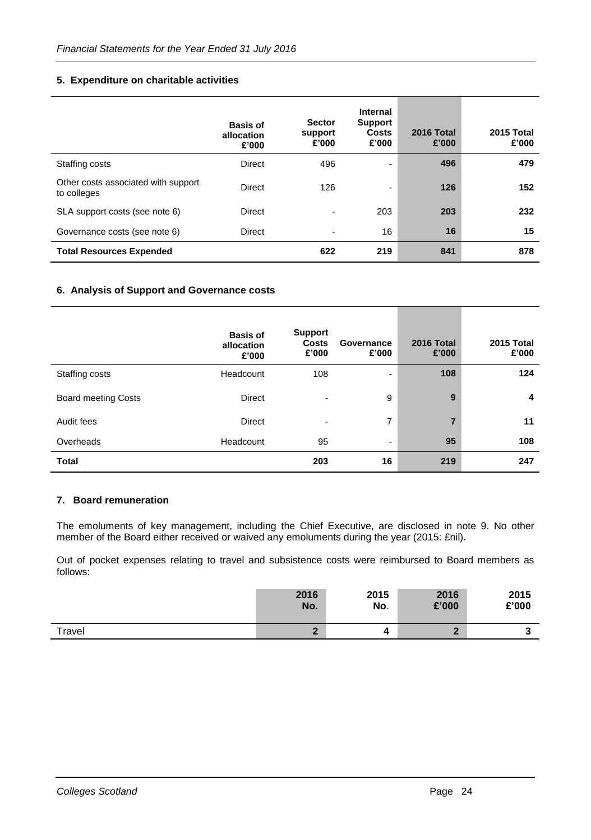# **5. Expenditure on charitable activities**

|                                                    | <b>Basis of</b><br>allocation<br>£'000 | <b>Sector</b><br>support<br>£'000 | Internal<br><b>Support</b><br><b>Costs</b><br>£'000 | 2016 Total<br>£'000 | 2015 Total<br>£'000 |
|----------------------------------------------------|----------------------------------------|-----------------------------------|-----------------------------------------------------|---------------------|---------------------|
| Staffing costs                                     | <b>Direct</b>                          | 496                               | ۰                                                   | 496                 | 479                 |
| Other costs associated with support<br>to colleges | <b>Direct</b>                          | 126                               | -                                                   | 126                 | 152                 |
| SLA support costs (see note 6)                     | <b>Direct</b>                          | $\overline{\phantom{0}}$          | 203                                                 | 203                 | 232                 |
| Governance costs (see note 6)                      | Direct                                 | $\overline{\phantom{0}}$          | 16                                                  | 16                  | 15                  |
| <b>Total Resources Expended</b>                    |                                        | 622                               | 219                                                 | 841                 | 878                 |

# **6. Analysis of Support and Governance costs**

|                            | <b>Basis of</b><br>allocation<br>£'000 | <b>Support</b><br><b>Costs</b><br>£'000 | Governance<br>£'000 | 2016 Total<br>£'000 | 2015 Total<br>£'000 |
|----------------------------|----------------------------------------|-----------------------------------------|---------------------|---------------------|---------------------|
| Staffing costs             | Headcount                              | 108                                     | ۰                   | 108                 | 124                 |
| <b>Board meeting Costs</b> | <b>Direct</b>                          |                                         | 9                   | 9                   | 4                   |
| Audit fees                 | <b>Direct</b>                          |                                         | 7                   |                     | 11                  |
| Overheads                  | Headcount                              | 95                                      | ۰                   | 95                  | 108                 |
| <b>Total</b>               |                                        | 203                                     | 16                  | 219                 | 247                 |

# **7. Board remuneration**

The emoluments of key management, including the Chief Executive, are disclosed in note 9. No other member of the Board either received or waived any emoluments during the year (2015: £nil).

Out of pocket expenses relating to travel and subsistence costs were reimbursed to Board members as follows:

|        | 2016   | 2015 | 2016  | 2015  |
|--------|--------|------|-------|-------|
|        | No.    | No.  | £'000 | £'000 |
| Travel | ◠<br>- |      | m     |       |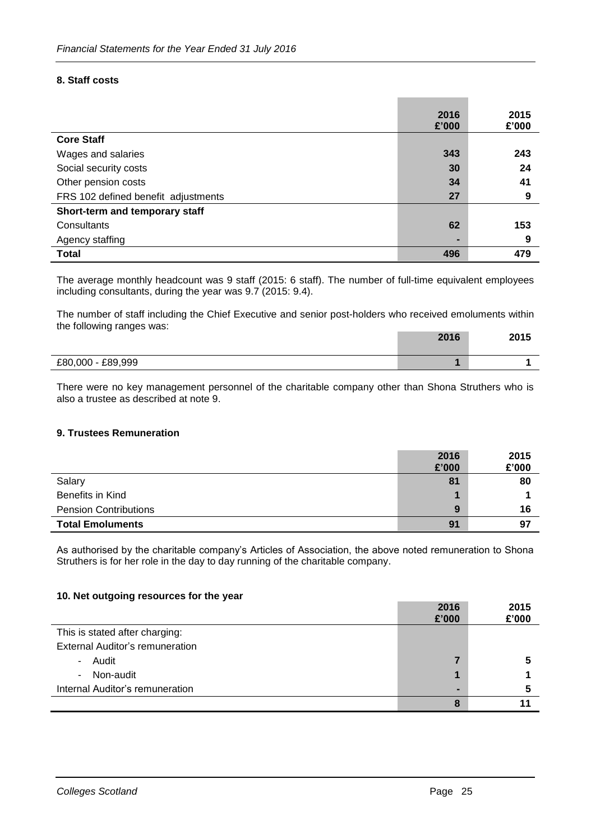# **8. Staff costs**

|                                     | 2016<br>£'000  | 2015<br>£'000 |
|-------------------------------------|----------------|---------------|
| <b>Core Staff</b>                   |                |               |
| Wages and salaries                  | 343            | 243           |
| Social security costs               | 30             | 24            |
| Other pension costs                 | 34             | 41            |
| FRS 102 defined benefit adjustments | 27             | 9             |
| Short-term and temporary staff      |                |               |
| Consultants                         | 62             | 153           |
| Agency staffing                     | $\blacksquare$ | 9             |
| <b>Total</b>                        | 496            | 479           |

The average monthly headcount was 9 staff (2015: 6 staff). The number of full-time equivalent employees including consultants, during the year was 9.7 (2015: 9.4).

The number of staff including the Chief Executive and senior post-holders who received emoluments within the following ranges was:

|                   | 2016 | 2015 |
|-------------------|------|------|
| £80,000 - £89,999 |      |      |

There were no key management personnel of the charitable company other than Shona Struthers who is also a trustee as described at note 9.

# **9. Trustees Remuneration**

|                              | 2016  | 2015  |
|------------------------------|-------|-------|
|                              | £'000 | £'000 |
| Salary                       | 81    | 80    |
| Benefits in Kind             |       |       |
| <b>Pension Contributions</b> | 9     | 16    |
| <b>Total Emoluments</b>      | 91    | 97    |

As authorised by the charitable company's Articles of Association, the above noted remuneration to Shona Struthers is for her role in the day to day running of the charitable company.

### **10. Net outgoing resources for the year**

|                                        | 2016<br>£'000 | 2015<br>£'000 |
|----------------------------------------|---------------|---------------|
| This is stated after charging:         |               |               |
| <b>External Auditor's remuneration</b> |               |               |
| Audit<br>$\sim$                        |               |               |
| Non-audit<br>$\blacksquare$            |               |               |
| Internal Auditor's remuneration        | -             |               |
|                                        | 8             |               |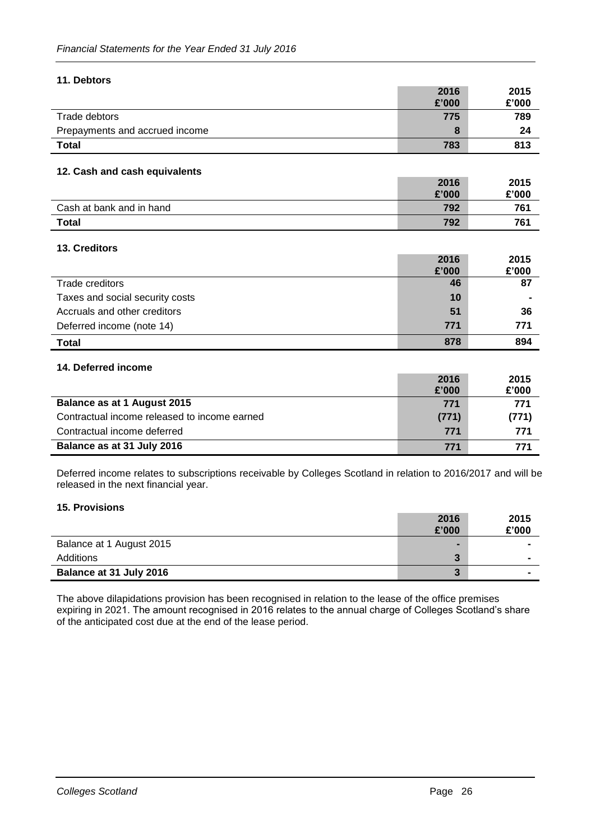# **11. Debtors**

|                                | 2016  | 2015  |
|--------------------------------|-------|-------|
|                                | £'000 | £'000 |
| Trade debtors                  | 775   | 789   |
| Prepayments and accrued income | 8     | 24    |
| <b>Total</b>                   | 783   | 813   |

# **12. Cash and cash equivalents**

|                          | 2016  | 2015  |
|--------------------------|-------|-------|
|                          | £'000 | £'000 |
| Cash at bank and in hand | 792   | 761   |
| <b>Total</b>             | 792   | 761   |

# **13. Creditors**

|                                 | 2016  | 2015  |
|---------------------------------|-------|-------|
|                                 | £'000 | £'000 |
| Trade creditors                 | 46    | 87    |
| Taxes and social security costs | 10    |       |
| Accruals and other creditors    | 51    | 36    |
| Deferred income (note 14)       | 771   | 771   |
| <b>Total</b>                    | 878   | 894   |

# **14. Deferred income**

|                                              | 2016  | 2015  |
|----------------------------------------------|-------|-------|
|                                              | £'000 | £'000 |
| Balance as at 1 August 2015                  | 771   | 771   |
| Contractual income released to income earned | (771) | (771) |
| Contractual income deferred                  | 771   | 771   |
| Balance as at 31 July 2016                   | 771   | 771   |

Deferred income relates to subscriptions receivable by Colleges Scotland in relation to 2016/2017 and will be released in the next financial year.

### **15. Provisions**

|                          | 2016<br>£'000  | 2015<br>£'000 |
|--------------------------|----------------|---------------|
| Balance at 1 August 2015 | $\blacksquare$ |               |
| Additions                | 3              |               |
| Balance at 31 July 2016  | 3              |               |

The above dilapidations provision has been recognised in relation to the lease of the office premises expiring in 2021. The amount recognised in 2016 relates to the annual charge of Colleges Scotland's share of the anticipated cost due at the end of the lease period.

**2016**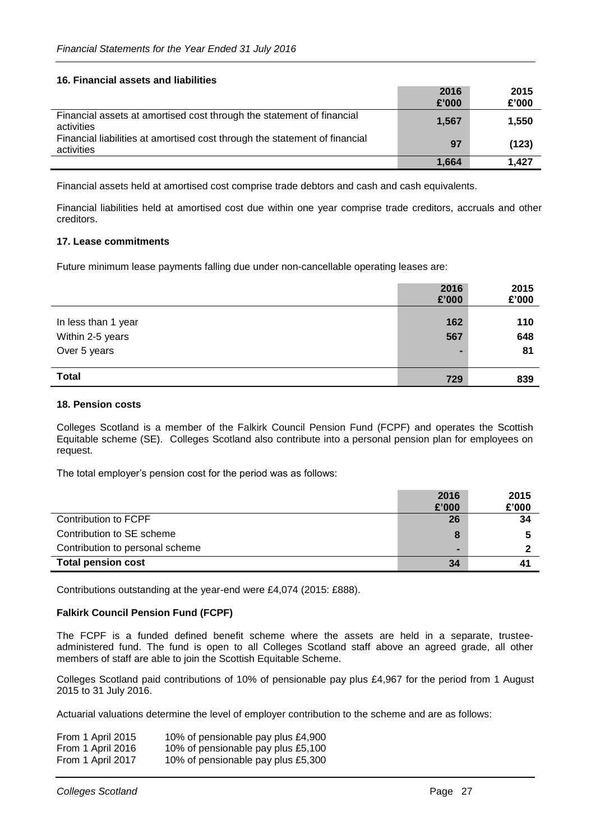# **16. Financial assets and liabilities**

|                                                                                          | 2016<br>£'000 | 2015<br>£'000 |
|------------------------------------------------------------------------------------------|---------------|---------------|
| Financial assets at amortised cost through the statement of financial<br>activities      | 1,567         | 1,550         |
| Financial liabilities at amortised cost through the statement of financial<br>activities | 97            | (123)         |
|                                                                                          | 1,664         | 1.427         |

Financial assets held at amortised cost comprise trade debtors and cash and cash equivalents.

Financial liabilities held at amortised cost due within one year comprise trade creditors, accruals and other creditors.

# **17. Lease commitments**

Future minimum lease payments falling due under non-cancellable operating leases are:

|                     | 2016<br>£'000 | 2015<br>£'000 |
|---------------------|---------------|---------------|
| In less than 1 year | 162           | 110           |
| Within 2-5 years    | 567           | 648           |
| Over 5 years        | -             | 81            |
| <b>Total</b>        | 729           | 839           |

### **18. Pension costs**

Colleges Scotland is a member of the Falkirk Council Pension Fund (FCPF) and operates the Scottish Equitable scheme (SE). Colleges Scotland also contribute into a personal pension plan for employees on request.

The total employer's pension cost for the period was as follows:

|                                 | 2016           | 2015  |
|---------------------------------|----------------|-------|
|                                 | £'000          | £'000 |
| Contribution to FCPF            | 26             | 34    |
| Contribution to SE scheme       | 8              |       |
| Contribution to personal scheme | $\blacksquare$ |       |
| <b>Total pension cost</b>       | 34             | 41    |

Contributions outstanding at the year-end were £4,074 (2015: £888).

# **Falkirk Council Pension Fund (FCPF)**

The FCPF is a funded defined benefit scheme where the assets are held in a separate, trusteeadministered fund. The fund is open to all Colleges Scotland staff above an agreed grade, all other members of staff are able to join the Scottish Equitable Scheme.

Colleges Scotland paid contributions of 10% of pensionable pay plus £4,967 for the period from 1 August 2015 to 31 July 2016.

Actuarial valuations determine the level of employer contribution to the scheme and are as follows:

| From 1 April 2015 | 10% of pensionable pay plus £4,900 |
|-------------------|------------------------------------|
| From 1 April 2016 | 10% of pensionable pay plus £5,100 |
| From 1 April 2017 | 10% of pensionable pay plus £5,300 |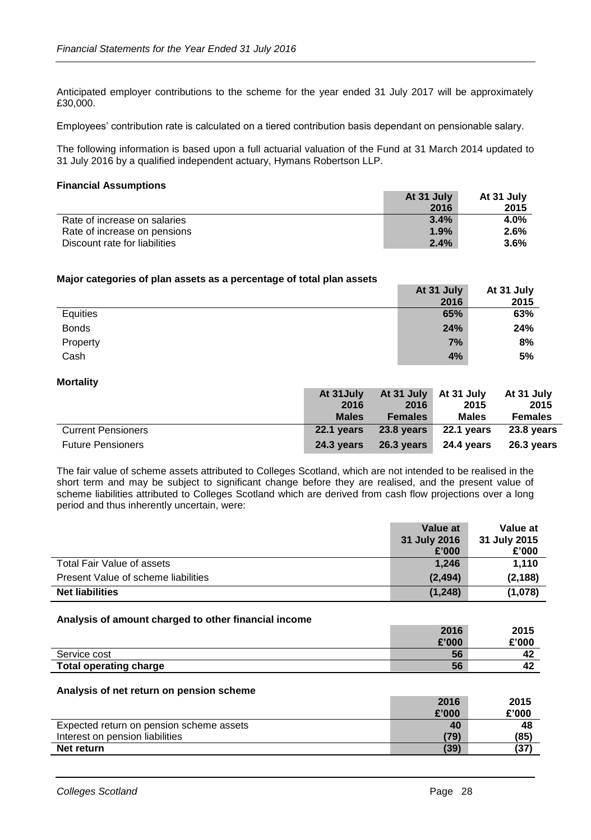Anticipated employer contributions to the scheme for the year ended 31 July 2017 will be approximately £30,000.

Employees' contribution rate is calculated on a tiered contribution basis dependant on pensionable salary.

The following information is based upon a full actuarial valuation of the Fund at 31 March 2014 updated to 31 July 2016 by a qualified independent actuary, Hymans Robertson LLP.

### **Financial Assumptions**

|                               | At 31 July | At 31 July |
|-------------------------------|------------|------------|
|                               | 2016       | 2015       |
| Rate of increase on salaries  | 3.4%       | 4.0%       |
| Rate of increase on pensions  | 1.9%       | 2.6%       |
| Discount rate for liabilities | 2.4%       | $3.6\%$    |

### **Major categories of plan assets as a percentage of total plan assets**

|              | At 31 July | At 31 July |
|--------------|------------|------------|
|              | 2016       | 2015       |
| Equities     | 65%        | 63%        |
| <b>Bonds</b> | 24%        | 24%        |
| Property     | 7%         | 8%         |
| Cash         | 4%         | 5%         |

### **Mortality**

|                           | At 31 July   |                | At 31 July At 31 July At 31 July |                |
|---------------------------|--------------|----------------|----------------------------------|----------------|
|                           | 2016         | 2016           | 2015                             | 2015           |
|                           | <b>Males</b> | <b>Females</b> | <b>Males</b>                     | <b>Females</b> |
| <b>Current Pensioners</b> | 22.1 vears   | $23.8$ years   | 22.1 years                       | 23.8 years     |
| <b>Future Pensioners</b>  | 24.3 vears   | 26.3 vears     | 24.4 vears                       | 26.3 vears     |

The fair value of scheme assets attributed to Colleges Scotland, which are not intended to be realised in the short term and may be subject to significant change before they are realised, and the present value of scheme liabilities attributed to Colleges Scotland which are derived from cash flow projections over a long period and thus inherently uncertain, were:

|                                     | Value at     | Value at     |
|-------------------------------------|--------------|--------------|
|                                     | 31 July 2016 | 31 July 2015 |
|                                     | £'000        | £'000        |
| Total Fair Value of assets          | 1.246        | 1,110        |
| Present Value of scheme liabilities | (2, 494)     | (2, 188)     |
| <b>Net liabilities</b>              | (1, 248)     | (1,078)      |

### **Analysis of amount charged to other financial income**

|                               | 2016  | 2015  |
|-------------------------------|-------|-------|
|                               | £'000 | £'000 |
| Service cost                  | 56    |       |
| <b>Total operating charge</b> | 56    | 42    |

### **Analysis of net return on pension scheme**

|                                          | 2016  | 2015  |
|------------------------------------------|-------|-------|
|                                          | £'000 | £'000 |
| Expected return on pension scheme assets | 40    | 48    |
| Interest on pension liabilities          | (79)  | (85)  |
| Net return                               | (39)  | (37)  |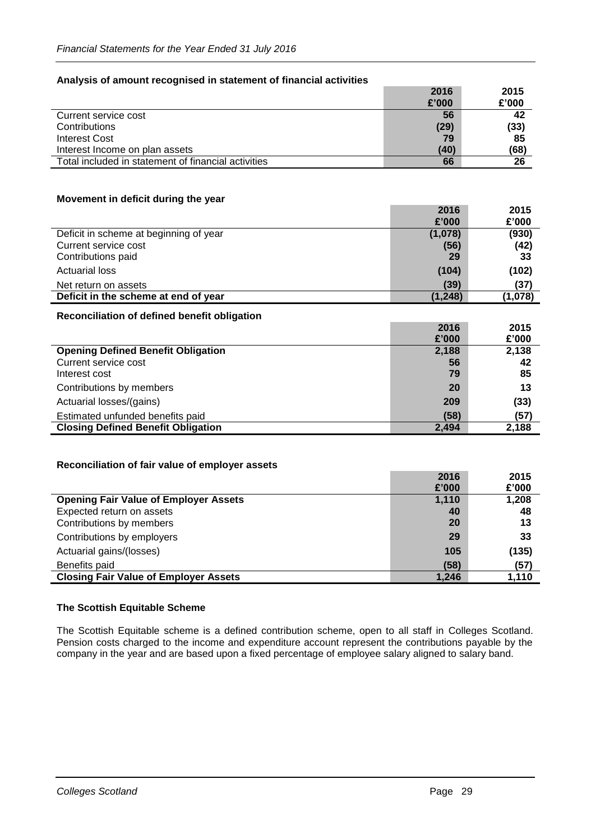# **Analysis of amount recognised in statement of financial activities**

|                                                     | 2016  | 2015  |
|-----------------------------------------------------|-------|-------|
|                                                     | £'000 | £'000 |
| Current service cost                                | 56    | 42    |
| Contributions                                       | (29)  | (33)  |
| <b>Interest Cost</b>                                | 79    | 85    |
| Interest Income on plan assets                      | (40)  | (68)  |
| Total included in statement of financial activities | 66    | 26    |

# **Movement in deficit during the year**

|                                        | 2016     | 2015    |
|----------------------------------------|----------|---------|
|                                        | £'000    | £'000   |
| Deficit in scheme at beginning of year | (1,078)  | (930)   |
| Current service cost                   | (56)     | (42)    |
| Contributions paid                     | 29       | -33     |
| <b>Actuarial loss</b>                  | (104)    | (102)   |
| Net return on assets                   | (39)     | (37)    |
| Deficit in the scheme at end of year   | (1, 248) | (1,078) |

# **Reconciliation of defined benefit obligation**

|                                           | 2016  | 2015  |
|-------------------------------------------|-------|-------|
|                                           | £'000 | £'000 |
| <b>Opening Defined Benefit Obligation</b> | 2,188 | 2,138 |
| Current service cost                      | 56    | 42    |
| Interest cost                             | 79    | 85    |
| Contributions by members                  | 20    | 13    |
| Actuarial losses/(gains)                  | 209   | (33)  |
| Estimated unfunded benefits paid          | (58)  | (57)  |
| <b>Closing Defined Benefit Obligation</b> | 2.494 | 2.188 |

# **Reconciliation of fair value of employer assets**

| £'000                                                 | £'000 |
|-------------------------------------------------------|-------|
| 1,110<br><b>Opening Fair Value of Employer Assets</b> | 1,208 |
| Expected return on assets<br>40                       | 48    |
| 20<br>Contributions by members                        | 13    |
| Contributions by employers<br>29                      | 33    |
| Actuarial gains/(losses)<br>105                       | (135) |
| (58)<br>Benefits paid                                 | (57)  |
| <b>Closing Fair Value of Employer Assets</b><br>1,246 | 1,110 |

# **The Scottish Equitable Scheme**

The Scottish Equitable scheme is a defined contribution scheme, open to all staff in Colleges Scotland. Pension costs charged to the income and expenditure account represent the contributions payable by the company in the year and are based upon a fixed percentage of employee salary aligned to salary band.